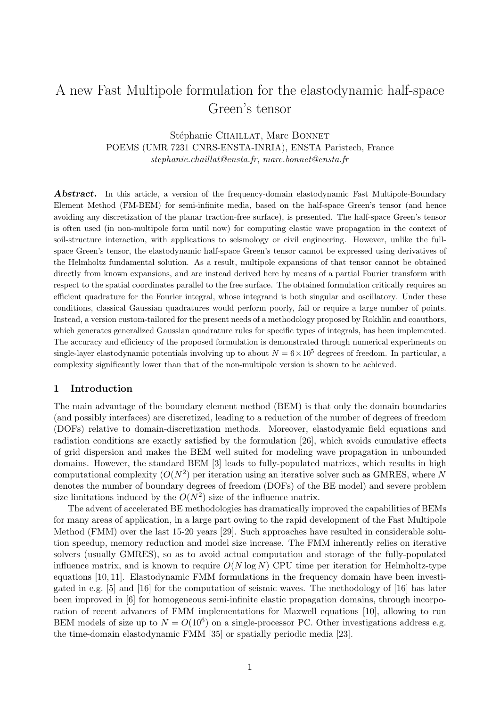# A new Fast Multipole formulation for the elastodynamic half-space Green's tensor

Stéphanie Chaillat, Marc BONNET POEMS (UMR 7231 CNRS-ENSTA-INRIA), ENSTA Paristech, France stephanie.chaillat@ensta.fr, marc.bonnet@ensta.fr

Abstract. In this article, a version of the frequency-domain elastodynamic Fast Multipole-Boundary Element Method (FM-BEM) for semi-infinite media, based on the half-space Green's tensor (and hence avoiding any discretization of the planar traction-free surface), is presented. The half-space Green's tensor is often used (in non-multipole form until now) for computing elastic wave propagation in the context of soil-structure interaction, with applications to seismology or civil engineering. However, unlike the fullspace Green's tensor, the elastodynamic half-space Green's tensor cannot be expressed using derivatives of the Helmholtz fundamental solution. As a result, multipole expansions of that tensor cannot be obtained directly from known expansions, and are instead derived here by means of a partial Fourier transform with respect to the spatial coordinates parallel to the free surface. The obtained formulation critically requires an efficient quadrature for the Fourier integral, whose integrand is both singular and oscillatory. Under these conditions, classical Gaussian quadratures would perform poorly, fail or require a large number of points. Instead, a version custom-tailored for the present needs of a methodology proposed by Rokhlin and coauthors, which generates generalized Gaussian quadrature rules for specific types of integrals, has been implemented. The accuracy and efficiency of the proposed formulation is demonstrated through numerical experiments on single-layer elastodynamic potentials involving up to about  $N = 6 \times 10^5$  degrees of freedom. In particular, a complexity significantly lower than that of the non-multipole version is shown to be achieved.

#### 1 Introduction

The main advantage of the boundary element method (BEM) is that only the domain boundaries (and possibly interfaces) are discretized, leading to a reduction of the number of degrees of freedom (DOFs) relative to domain-discretization methods. Moreover, elastodyamic field equations and radiation conditions are exactly satisfied by the formulation [26], which avoids cumulative effects of grid dispersion and makes the BEM well suited for modeling wave propagation in unbounded domains. However, the standard BEM [3] leads to fully-populated matrices, which results in high computational complexity  $(O(N^2)$  per iteration using an iterative solver such as GMRES, where N denotes the number of boundary degrees of freedom (DOFs) of the BE model) and severe problem size limitations induced by the  $O(N^2)$  size of the influence matrix.

The advent of accelerated BE methodologies has dramatically improved the capabilities of BEMs for many areas of application, in a large part owing to the rapid development of the Fast Multipole Method (FMM) over the last 15-20 years [29]. Such approaches have resulted in considerable solution speedup, memory reduction and model size increase. The FMM inherently relies on iterative solvers (usually GMRES), so as to avoid actual computation and storage of the fully-populated influence matrix, and is known to require  $O(N \log N)$  CPU time per iteration for Helmholtz-type equations [10, 11]. Elastodynamic FMM formulations in the frequency domain have been investigated in e.g. [5] and [16] for the computation of seismic waves. The methodology of [16] has later been improved in [6] for homogeneous semi-infinite elastic propagation domains, through incorporation of recent advances of FMM implementations for Maxwell equations [10], allowing to run BEM models of size up to  $N = O(10^6)$  on a single-processor PC. Other investigations address e.g. the time-domain elastodynamic FMM [35] or spatially periodic media [23].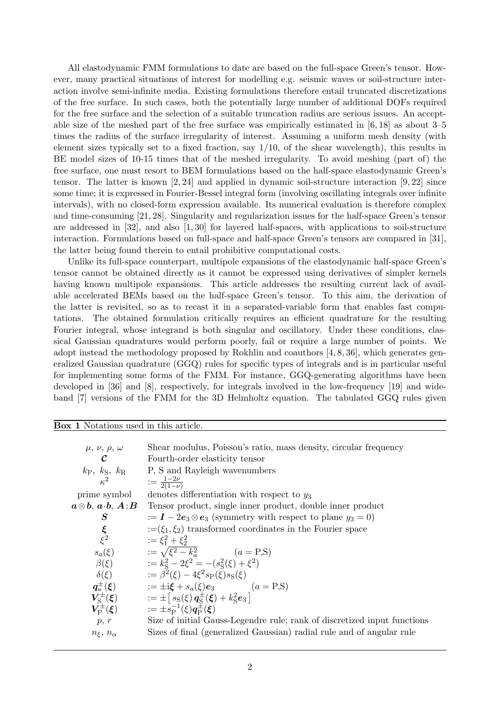All elastodynamic FMM formulations to date are based on the full-space Green's tensor. However, many practical situations of interest for modelling e.g. seismic waves or soil-structure interaction involve semi-infinite media. Existing formulations therefore entail truncated discretizations of the free surface. In such cases, both the potentially large number of additional DOFs required for the free surface and the selection of a suitable truncation radius are serious issues. An acceptable size of the meshed part of the free surface was empirically estimated in [6, 18] as about 3–5 times the radius of the surface irregularity of interest. Assuming a uniform mesh density (with element sizes typically set to a fixed fraction, say  $1/10$ , of the shear wavelength), this results in BE model sizes of 10-15 times that of the meshed irregularity. To avoid meshing (part of) the free surface, one must resort to BEM formulations based on the half-space elastodynamic Green's tensor. The latter is known  $[2, 24]$  and applied in dynamic soil-structure interaction  $[9, 22]$  since some time; it is expressed in Fourier-Bessel integral form (involving oscillating integrals over infinite intervals), with no closed-form expression available. Its numerical evaluation is therefore complex and time-consuming [21, 28]. Singularity and regularization issues for the half-space Green's tensor are addressed in [32], and also [1, 30] for layered half-spaces, with applications to soil-structure interaction. Formulations based on full-space and half-space Green's tensors are compared in [31], the latter being found therein to entail prohibitive computational costs.

Unlike its full-space counterpart, multipole expansions of the elastodynamic half-space Green's tensor cannot be obtained directly as it cannot be expressed using derivatives of simpler kernels having known multipole expansions. This article addresses the resulting current lack of available accelerated BEMs based on the half-space Green's tensor. To this aim, the derivation of the latter is revisited, so as to recast it in a separated-variable form that enables fast computations. The obtained formulation critically requires an efficient quadrature for the resulting Fourier integral, whose integrand is both singular and oscillatory. Under these conditions, classical Gaussian quadratures would perform poorly, fail or require a large number of points. We adopt instead the methodology proposed by Rokhlin and coauthors [4, 8, 36], which generates generalized Gaussian quadrature (GGQ) rules for specific types of integrals and is in particular useful for implementing some forms of the FMM. For instance, GGQ-generating algorithms have been developed in [36] and [8], respectively, for integrals involved in the low-frequency [19] and wideband [7] versions of the FMM for the 3D Helmholtz equation. The tabulated GGQ rules given

Box 1 Notations used in this article.

| $\mu, \nu, \rho, \omega$                                       | Shear modulus, Poisson's ratio, mass density, circular frequency         |
|----------------------------------------------------------------|--------------------------------------------------------------------------|
| $\mathcal{C}$                                                  | Fourth-order elasticity tensor                                           |
|                                                                | $k_{\rm P}, k_{\rm S}, k_{\rm R}$ P, S and Rayleigh wavenumbers          |
| $\kappa^2$                                                     | $:= \frac{1-2\nu}{2(1-\nu)}$                                             |
| prime symbol                                                   | denotes differentiation with respect to $y_3$                            |
| $\bm{a}\otimes \bm{b},\,\bm{a}{\cdot}\bm{b},\,\bm{A}{:}\bm{B}$ | Tensor product, single inner product, double inner product               |
| $\bm{S}$                                                       | $:= I - 2e_3 \otimes e_3$ (symmetry with respect to plane $y_3 = 0$ )    |
| $\xi$<br>$\xi^2$                                               | $:= (\xi_1, \xi_2)$ transformed coordinates in the Fourier space         |
|                                                                | $:= \xi_1^2 + \xi_2^2$                                                   |
| $s_a(\xi)$                                                     | $:= \sqrt{\xi^2 - k_a^2}$ $(a = P,S)$                                    |
| $\beta(\xi)$                                                   | $:= k_{\rm S}^2 - 2\xi^2 = -(s_{\rm S}^2(\xi) + \xi^2)$                  |
| $\delta(\xi)$                                                  | $:= \beta^2(\xi) - 4\xi^2 s_P(\xi) s_S(\xi)$                             |
| $q_a^{\pm}(\boldsymbol{\xi})$                                  | $:= \pm i \xi + s_a(\xi) e_3$ $(a = P,S)$                                |
| $V^{\pm}_{\rm S}(\xi)$                                         | $:= \pm [s_{S}(\xi) q_{S}^{\pm}(\xi) + k_{S}^{2}e_{3}]$                  |
| $V_{\mathrm{p}}^{\pm}(\boldsymbol{\xi})$                       | $:=\pm s_{\rm p}^{-1}(\xi)q_{\rm p}^{\pm}(\xi)$                          |
| p, r                                                           | Size of initial Gauss-Legendre rule; rank of discretized input functions |
| $n_{\xi}, n_{\alpha}$                                          | Sizes of final (generalized Gaussian) radial rule and of angular rule    |
|                                                                |                                                                          |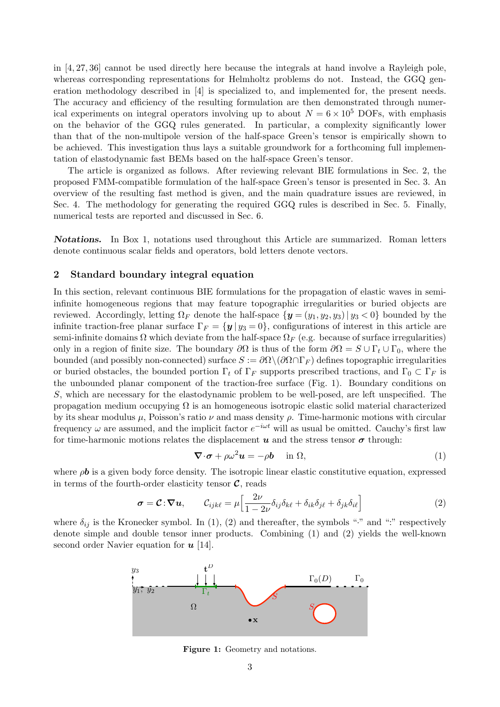in [4, 27, 36] cannot be used directly here because the integrals at hand involve a Rayleigh pole, whereas corresponding representations for Helmholtz problems do not. Instead, the GGQ generation methodology described in [4] is specialized to, and implemented for, the present needs. The accuracy and efficiency of the resulting formulation are then demonstrated through numerical experiments on integral operators involving up to about  $N = 6 \times 10^5$  DOFs, with emphasis on the behavior of the GGQ rules generated. In particular, a complexity significantly lower than that of the non-multipole version of the half-space Green's tensor is empirically shown to be achieved. This investigation thus lays a suitable groundwork for a forthcoming full implementation of elastodynamic fast BEMs based on the half-space Green's tensor.

The article is organized as follows. After reviewing relevant BIE formulations in Sec. 2, the proposed FMM-compatible formulation of the half-space Green's tensor is presented in Sec. 3. An overview of the resulting fast method is given, and the main quadrature issues are reviewed, in Sec. 4. The methodology for generating the required GGQ rules is described in Sec. 5. Finally, numerical tests are reported and discussed in Sec. 6.

Notations. In Box 1, notations used throughout this Article are summarized. Roman letters denote continuous scalar fields and operators, bold letters denote vectors.

# 2 Standard boundary integral equation

In this section, relevant continuous BIE formulations for the propagation of elastic waves in semiinfinite homogeneous regions that may feature topographic irregularities or buried objects are reviewed. Accordingly, letting  $\Omega_F$  denote the half-space  $\{y = (y_1, y_2, y_3) | y_3 < 0\}$  bounded by the infinite traction-free planar surface  $\Gamma_F = \{y \mid y_3 = 0\}$ , configurations of interest in this article are semi-infinite domains  $\Omega$  which deviate from the half-space  $\Omega_F$  (e.g. because of surface irregularities) only in a region of finite size. The boundary  $\partial\Omega$  is thus of the form  $\partial\Omega = S \cup \Gamma_t \cup \Gamma_0$ , where the bounded (and possibly non-connected) surface  $S := \partial \Omega \setminus (\partial \Omega \cap \Gamma_F)$  defines topographic irregularities or buried obstacles, the bounded portion  $\Gamma_t$  of  $\Gamma_F$  supports prescribed tractions, and  $\Gamma_0 \subset \Gamma_F$  is the unbounded planar component of the traction-free surface (Fig. 1). Boundary conditions on S, which are necessary for the elastodynamic problem to be well-posed, are left unspecified. The propagation medium occupying  $\Omega$  is an homogeneous isotropic elastic solid material characterized by its shear modulus  $\mu$ , Poisson's ratio  $\nu$  and mass density  $\rho$ . Time-harmonic motions with circular frequency  $\omega$  are assumed, and the implicit factor  $e^{-i\omega t}$  will as usual be omitted. Cauchy's first law for time-harmonic motions relates the displacement u and the stress tensor  $\sigma$  through:

$$
\nabla \cdot \boldsymbol{\sigma} + \rho \omega^2 \boldsymbol{u} = -\rho \boldsymbol{b} \quad \text{in } \Omega,
$$
\n(1)

where  $\rho b$  is a given body force density. The isotropic linear elastic constitutive equation, expressed in terms of the fourth-order elasticity tensor  $\mathcal{C}$ , reads

$$
\boldsymbol{\sigma} = \boldsymbol{\mathcal{C}} : \boldsymbol{\nabla} \boldsymbol{u}, \qquad \mathcal{C}_{ijk\ell} = \mu \Big[ \frac{2\nu}{1 - 2\nu} \delta_{ij} \delta_{k\ell} + \delta_{ik} \delta_{j\ell} + \delta_{jk} \delta_{i\ell} \Big] \tag{2}
$$

where  $\delta_{ij}$  is the Kronecker symbol. In (1), (2) and thereafter, the symbols ":" and ":" respectively denote simple and double tensor inner products. Combining (1) and (2) yields the well-known second order Navier equation for  $u$  [14].



Figure 1: Geometry and notations.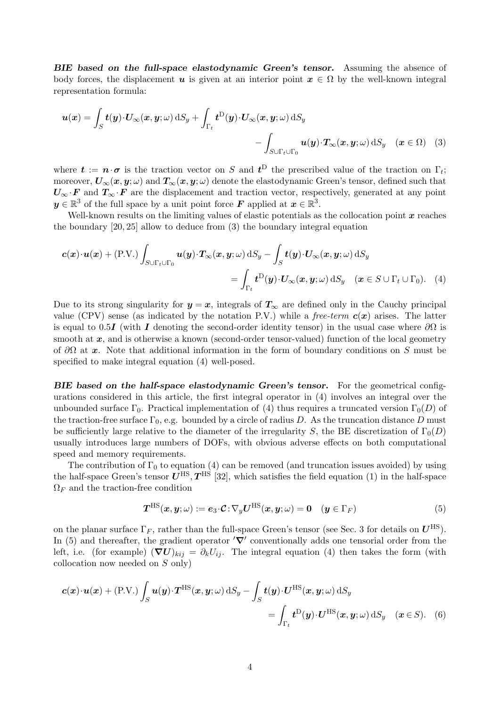BIE based on the full-space elastodynamic Green's tensor. Assuming the absence of body forces, the displacement u is given at an interior point  $x \in \Omega$  by the well-known integral representation formula:

$$
\mathbf{u}(\mathbf{x}) = \int_{S} \mathbf{t}(\mathbf{y}) \cdot \mathbf{U}_{\infty}(\mathbf{x}, \mathbf{y}; \omega) \, dS_{y} + \int_{\Gamma_{t}} \mathbf{t}^{D}(\mathbf{y}) \cdot \mathbf{U}_{\infty}(\mathbf{x}, \mathbf{y}; \omega) \, dS_{y} - \int_{S \cup \Gamma_{t} \cup \Gamma_{0}} \mathbf{u}(\mathbf{y}) \cdot \mathbf{T}_{\infty}(\mathbf{x}, \mathbf{y}; \omega) \, dS_{y} \quad (\mathbf{x} \in \Omega) \tag{3}
$$

where  $t := n \cdot \sigma$  is the traction vector on S and  $t^D$  the prescribed value of the traction on  $\Gamma_t$ ; moreover,  $U_{\infty}(x, y; \omega)$  and  $T_{\infty}(x, y; \omega)$  denote the elastodynamic Green's tensor, defined such that  $U_{\infty} \cdot F$  and  $T_{\infty} \cdot F$  are the displacement and traction vector, respectively, generated at any point  $y \in \mathbb{R}^3$  of the full space by a unit point force  $\mathbf{F}$  applied at  $x \in \mathbb{R}^3$ .

Well-known results on the limiting values of elastic potentials as the collocation point  $x$  reaches the boundary [20, 25] allow to deduce from (3) the boundary integral equation

$$
\mathbf{c}(\mathbf{x}) \cdot \mathbf{u}(\mathbf{x}) + (\text{P.V.}) \int_{S \cup \Gamma_t \cup \Gamma_0} \mathbf{u}(\mathbf{y}) \cdot \mathbf{T}_{\infty}(\mathbf{x}, \mathbf{y}; \omega) \, \text{d}S_{\mathbf{y}} - \int_S \mathbf{t}(\mathbf{y}) \cdot \mathbf{U}_{\infty}(\mathbf{x}, \mathbf{y}; \omega) \, \text{d}S_{\mathbf{y}} \\
= \int_{\Gamma_t} \mathbf{t}^{\text{D}}(\mathbf{y}) \cdot \mathbf{U}_{\infty}(\mathbf{x}, \mathbf{y}; \omega) \, \text{d}S_{\mathbf{y}} \quad (\mathbf{x} \in S \cup \Gamma_t \cup \Gamma_0).
$$
\n(4)

Due to its strong singularity for  $y = x$ , integrals of  $T_{\infty}$  are defined only in the Cauchy principal value (CPV) sense (as indicated by the notation P.V.) while a free-term  $c(x)$  arises. The latter is equal to 0.5I (with I denoting the second-order identity tensor) in the usual case where  $\partial\Omega$  is smooth at  $x$ , and is otherwise a known (second-order tensor-valued) function of the local geometry of  $\partial\Omega$  at x. Note that additional information in the form of boundary conditions on S must be specified to make integral equation (4) well-posed.

BIE based on the half-space elastodynamic Green's tensor. For the geometrical configurations considered in this article, the first integral operator in (4) involves an integral over the unbounded surface  $\Gamma_0$ . Practical implementation of (4) thus requires a truncated version  $\Gamma_0(D)$  of the traction-free surface  $\Gamma_0$ , e.g. bounded by a circle of radius D. As the truncation distance D must be sufficiently large relative to the diameter of the irregularity S, the BE discretization of  $\Gamma_0(D)$ usually introduces large numbers of DOFs, with obvious adverse effects on both computational speed and memory requirements.

The contribution of  $\Gamma_0$  to equation (4) can be removed (and truncation issues avoided) by using the half-space Green's tensor  $U^{\text{HS}}, T^{\text{HS}}$  [32], which satisfies the field equation (1) in the half-space  $\Omega_F$  and the traction-free condition

$$
T^{\text{HS}}(x, y; \omega) := e_3 \cdot \mathcal{C} : \nabla_y U^{\text{HS}}(x, y; \omega) = 0 \quad (y \in \Gamma_F)
$$
\n<sup>(5)</sup>

on the planar surface  $\Gamma_F$ , rather than the full-space Green's tensor (see Sec. 3 for details on  $U^{\text{HS}}$ ). In (5) and thereafter, the gradient operator  $'\nabla'$  conventionally adds one tensorial order from the left, i.e. (for example)  $(\nabla U)_{kij} = \partial_k U_{ij}$ . The integral equation (4) then takes the form (with collocation now needed on S only)

$$
\mathbf{c}(\mathbf{x}) \cdot \mathbf{u}(\mathbf{x}) + (\text{P.V.}) \int_{S} \mathbf{u}(\mathbf{y}) \cdot \mathbf{T}^{\text{HS}}(\mathbf{x}, \mathbf{y}; \omega) \, \text{d}S_{y} - \int_{S} \mathbf{t}(\mathbf{y}) \cdot \mathbf{U}^{\text{HS}}(\mathbf{x}, \mathbf{y}; \omega) \, \text{d}S_{y}
$$
\n
$$
= \int_{\Gamma_{t}} \mathbf{t}^{D}(\mathbf{y}) \cdot \mathbf{U}^{\text{HS}}(\mathbf{x}, \mathbf{y}; \omega) \, \text{d}S_{y} \quad (\mathbf{x} \in S). \tag{6}
$$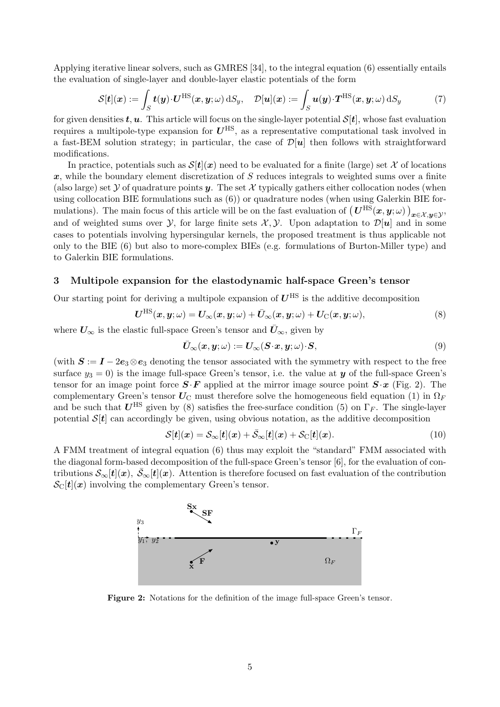Applying iterative linear solvers, such as GMRES [34], to the integral equation (6) essentially entails the evaluation of single-layer and double-layer elastic potentials of the form

$$
\mathcal{S}[\boldsymbol{t}](\boldsymbol{x}) := \int_{S} \boldsymbol{t}(\boldsymbol{y}) \cdot \boldsymbol{U}^{\text{HS}}(\boldsymbol{x}, \boldsymbol{y}; \omega) \, \mathrm{d}S_{y}, \quad \mathcal{D}[\boldsymbol{u}](\boldsymbol{x}) := \int_{S} \boldsymbol{u}(\boldsymbol{y}) \cdot \boldsymbol{T}^{\text{HS}}(\boldsymbol{x}, \boldsymbol{y}; \omega) \, \mathrm{d}S_{y} \tag{7}
$$

for given densities t, u. This article will focus on the single-layer potential  $S[t]$ , whose fast evaluation requires a multipole-type expansion for  $U^{\text{HS}}$ , as a representative computational task involved in a fast-BEM solution strategy; in particular, the case of  $\mathcal{D}[u]$  then follows with straightforward modifications.

In practice, potentials such as  $S[t](x)$  need to be evaluated for a finite (large) set X of locations  $x$ , while the boundary element discretization of S reduces integrals to weighted sums over a finite (also large) set  $\mathcal Y$  of quadrature points  $\mathbf y$ . The set  $\mathcal X$  typically gathers either collocation nodes (when using collocation BIE formulations such as (6)) or quadrature nodes (when using Galerkin BIE formulations). The main focus of this article will be on the fast evaluation of  $(U^{HS}(x, y; \omega))_{x \in \mathcal{X}, y \in \mathcal{Y}}$ , and of weighted sums over  $\mathcal{Y}$ , for large finite sets  $\mathcal{X}, \mathcal{Y}$ . Upon adaptation to  $\mathcal{D}[u]$  and in some cases to potentials involving hypersingular kernels, the proposed treatment is thus applicable not only to the BIE (6) but also to more-complex BIEs (e.g. formulations of Burton-Miller type) and to Galerkin BIE formulations.

# 3 Multipole expansion for the elastodynamic half-space Green's tensor

Our starting point for deriving a multipole expansion of  $U^{\text{HS}}$  is the additive decomposition

$$
\boldsymbol{U}^{\text{HS}}(\boldsymbol{x},\boldsymbol{y};\omega) = \boldsymbol{U}_{\infty}(\boldsymbol{x},\boldsymbol{y};\omega) + \bar{\boldsymbol{U}}_{\infty}(\boldsymbol{x},\boldsymbol{y};\omega) + \boldsymbol{U}_{\text{C}}(\boldsymbol{x},\boldsymbol{y};\omega),\tag{8}
$$

where  $U_{\infty}$  is the elastic full-space Green's tensor and  $\bar{U}_{\infty}$ , given by

$$
\bar{U}_{\infty}(x, y; \omega) := U_{\infty}(S \cdot x, y; \omega) \cdot S, \tag{9}
$$

(with  $S := I - 2e_3 \otimes e_3$  denoting the tensor associated with the symmetry with respect to the free surface  $y_3 = 0$ ) is the image full-space Green's tensor, i.e. the value at y of the full-space Green's tensor for an image point force  $S \cdot F$  applied at the mirror image source point  $S \cdot x$  (Fig. 2). The complementary Green's tensor  $U_{\text{C}}$  must therefore solve the homogeneous field equation (1) in  $\Omega_F$ and be such that  $U^{\text{HS}}$  given by (8) satisfies the free-surface condition (5) on  $\Gamma_F$ . The single-layer potential  $\mathcal{S}[t]$  can accordingly be given, using obvious notation, as the additive decomposition

$$
\mathcal{S}[t](x) = \mathcal{S}_{\infty}[t](x) + \bar{\mathcal{S}}_{\infty}[t](x) + \mathcal{S}_{\mathcal{C}}[t](x). \tag{10}
$$

A FMM treatment of integral equation (6) thus may exploit the "standard" FMM associated with the diagonal form-based decomposition of the full-space Green's tensor [6], for the evaluation of contributions  $S_\infty[t](x)$ ,  $\bar{S}_\infty[t](x)$ . Attention is therefore focused on fast evaluation of the contribution  $\mathcal{S}_{\mathcal{C}}[t](x)$  involving the complementary Green's tensor.



Figure 2: Notations for the definition of the image full-space Green's tensor.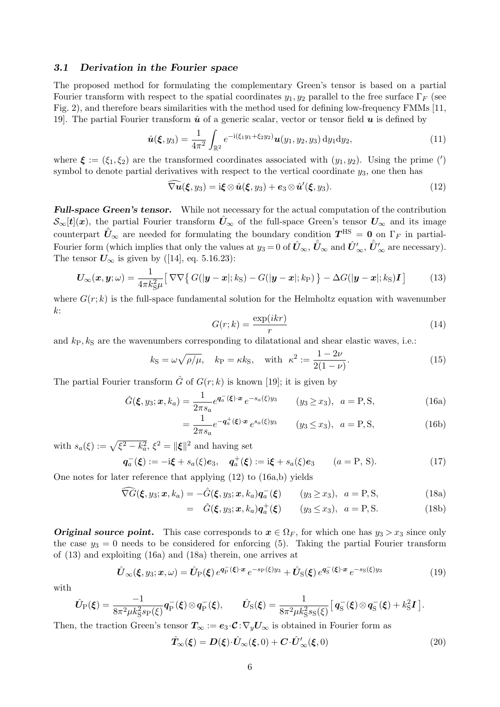#### 3.1 Derivation in the Fourier space

The proposed method for formulating the complementary Green's tensor is based on a partial Fourier transform with respect to the spatial coordinates  $y_1, y_2$  parallel to the free surface  $\Gamma_F$  (see Fig. 2), and therefore bears similarities with the method used for defining low-frequency FMMs [11, 19. The partial Fourier transform  $\hat{u}$  of a generic scalar, vector or tensor field  $u$  is defined by

$$
\hat{\mathbf{u}}(\xi, y_3) = \frac{1}{4\pi^2} \int_{\mathbb{R}^2} e^{-i(\xi_1 y_1 + \xi_2 y_2)} \mathbf{u}(y_1, y_2, y_3) \, dy_1 dy_2, \tag{11}
$$

where  $\boldsymbol{\xi} := (\xi_1, \xi_2)$  are the transformed coordinates associated with  $(y_1, y_2)$ . Using the prime (') symbol to denote partial derivatives with respect to the vertical coordinate  $y_3$ , one then has

$$
\widehat{\nabla u}(\xi, y_3) = \mathrm{i}\xi \otimes \widehat{u}(\xi, y_3) + \mathbf{e}_3 \otimes \widehat{u}'(\xi, y_3). \tag{12}
$$

Full-space Green's tensor. While not necessary for the actual computation of the contribution  $\mathcal{S}_{\infty}[t](x)$ , the partial Fourier transform  $\hat{U}_{\infty}$  of the full-space Green's tensor  $U_{\infty}$  and its image counterpart  $\hat{U}_{\infty}$  are needed for formulating the boundary condition  $T^{\text{HS}} = 0$  on  $\Gamma_F$  in partial-Fourier form (which implies that only the values at  $y_3 = 0$  of  $\hat{U}_{\infty}$ ,  $\hat{U}_{\infty}$  and  $\hat{U}'_{\infty}$ ,  $\hat{U}'_{\infty}$  are necessary). The tensor  $U_{\infty}$  is given by ([14], eq. 5.16.23):

$$
\boldsymbol{U}_{\infty}(\boldsymbol{x},\boldsymbol{y};\omega) = \frac{1}{4\pi k_{\mathrm{S}}^2 \mu} \big[ \nabla \nabla \big\{ G(|\boldsymbol{y}-\boldsymbol{x}|;k_{\mathrm{S}}) - G(|\boldsymbol{y}-\boldsymbol{x}|;k_{\mathrm{P}}) \big\} - \Delta G(|\boldsymbol{y}-\boldsymbol{x}|;k_{\mathrm{S}}) \boldsymbol{I} \big] \tag{13}
$$

where  $G(r; k)$  is the full-space fundamental solution for the Helmholtz equation with wavenumber  $k$ :

$$
G(r;k) = \frac{\exp(ikr)}{r}
$$
\n(14)

and  $k_P, k_S$  are the wavenumbers corresponding to dilatational and shear elastic waves, i.e.:

$$
k_{\rm S} = \omega \sqrt{\rho/\mu}, \quad k_{\rm P} = \kappa k_{\rm S}, \quad \text{with} \quad \kappa^2 := \frac{1 - 2\nu}{2(1 - \nu)}.
$$
 (15)

The partial Fourier transform  $\hat{G}$  of  $G(r;k)$  is known [19]; it is given by

$$
\hat{G}(\xi, y_3; \mathbf{x}, k_a) = \frac{1}{2\pi s_a} e^{\mathbf{q}_a^-(\xi) \cdot \mathbf{x}} e^{-s_a(\xi)y_3} \qquad (y_3 \ge x_3), \ \ a = \text{P}, \text{S}, \tag{16a}
$$

$$
=\frac{1}{2\pi s_a}e^{-q_a^+(\xi)\cdot x}e^{s_a(\xi)y_3} \qquad (y_3\leq x_3), \ \ a=\text{P},\text{S},\tag{16b}
$$

with  $s_a(\xi) := \sqrt{\xi^2 - k_a^2}, \xi^2 = ||\xi||^2$  and having set

$$
\mathbf{q}_a^-(\xi) := -\mathrm{i}\xi + s_a(\xi)e_3, \quad \mathbf{q}_a^+(\xi) := \mathrm{i}\xi + s_a(\xi)e_3 \qquad (a = \mathrm{P}, \mathrm{S}).\tag{17}
$$

One notes for later reference that applying (12) to (16a,b) yields

$$
\widehat{\nabla G}(\boldsymbol{\xi}, y_3; \boldsymbol{x}, k_a) = -\widehat{G}(\boldsymbol{\xi}, y_3; \boldsymbol{x}, k_a) \boldsymbol{q}_a^-(\boldsymbol{\xi}) \qquad (y_3 \ge x_3), \ \ a = \text{P}, \text{S}, \tag{18a}
$$

= 
$$
\hat{G}(\xi, y_3; \mathbf{x}, k_a) \mathbf{q}_a^+(\xi)
$$
  $(y_3 \le x_3), \ \mathbf{a} = \mathbf{P}, \mathbf{S}.$  (18b)

**Original source point.** This case corresponds to  $x \in \Omega_F$ , for which one has  $y_3 > x_3$  since only the case  $y_3 = 0$  needs to be considered for enforcing (5). Taking the partial Fourier transform of (13) and exploiting (16a) and (18a) therein, one arrives at

$$
\hat{\boldsymbol{U}}_{\infty}(\boldsymbol{\xi}, y_3; \boldsymbol{x}, \omega) = \hat{\boldsymbol{U}}_{\mathrm{P}}(\boldsymbol{\xi}) e^{\boldsymbol{q}_{\mathrm{P}}^{-}(\boldsymbol{\xi}) \cdot \boldsymbol{x}} e^{-s_{\mathrm{P}}(\boldsymbol{\xi}) y_3} + \hat{\boldsymbol{U}}_{\mathrm{S}}(\boldsymbol{\xi}) e^{\boldsymbol{q}_{\mathrm{S}}^{-}(\boldsymbol{\xi}) \cdot \boldsymbol{x}} e^{-s_{\mathrm{S}}(\boldsymbol{\xi}) y_3}
$$
(19)

with

$$
\hat{\boldsymbol{U}}_{\mathrm{P}}(\boldsymbol{\xi}) = \frac{-1}{8\pi^2\mu k_{\mathrm{S}}^2 s_{\mathrm{P}}(\boldsymbol{\xi})} \boldsymbol{q}_{\mathrm{P}}^-(\boldsymbol{\xi}) \otimes \boldsymbol{q}_{\mathrm{P}}^-(\boldsymbol{\xi}), \qquad \hat{\boldsymbol{U}}_{\mathrm{S}}(\boldsymbol{\xi}) = \frac{1}{8\pi^2\mu k_{\mathrm{S}}^2 s_{\mathrm{S}}(\boldsymbol{\xi})} \big[ \boldsymbol{q}_{\mathrm{S}}^-(\boldsymbol{\xi}) \otimes \boldsymbol{q}_{\mathrm{S}}^-(\boldsymbol{\xi}) + k_{\mathrm{S}}^2 \boldsymbol{I} \big].
$$

Then, the traction Green's tensor  $T_{\infty} := e_3 \cdot C \cdot \nabla_y U_{\infty}$  is obtained in Fourier form as

$$
\hat{T}_{\infty}(\xi) = D(\xi) \cdot \hat{U}_{\infty}(\xi,0) + C \cdot \hat{U}'_{\infty}(\xi,0)
$$
\n(20)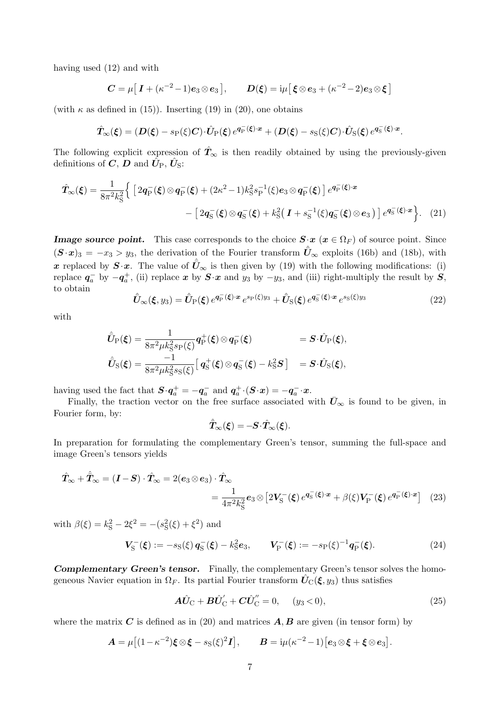having used (12) and with

$$
\mathbf{C} = \mu \big[ \mathbf{I} + (\kappa^{-2} - 1)\mathbf{e}_3 \otimes \mathbf{e}_3 \big], \qquad \mathbf{D}(\boldsymbol{\xi}) = \mathrm{i} \mu \big[ \boldsymbol{\xi} \otimes \mathbf{e}_3 + (\kappa^{-2} - 2)\mathbf{e}_3 \otimes \boldsymbol{\xi} \big]
$$

(with  $\kappa$  as defined in (15)). Inserting (19) in (20), one obtains

$$
\hat{T}_{\infty}(\xi) = (D(\xi) - s_{\mathrm{P}}(\xi)C) \cdot \hat{U}_{\mathrm{P}}(\xi) e^{q_{\mathrm{P}}(\xi) \cdot x} + (D(\xi) - s_{\mathrm{S}}(\xi)C) \cdot \hat{U}_{\mathrm{S}}(\xi) e^{q_{\mathrm{S}}(\xi) \cdot x}.
$$

The following explicit expression of  $\hat{T}_{\infty}$  is then readily obtained by using the previously-given definitions of  $C, D$  and  $\hat{U}_{\text{P}}, \hat{U}_{\text{S}}$ :

$$
\hat{T}_{\infty}(\boldsymbol{\xi}) = \frac{1}{8\pi^2 k_{\rm S}^2} \Big\{ \left[ 2\boldsymbol{q}_{\rm P}^-(\boldsymbol{\xi}) \otimes \boldsymbol{q}_{\rm P}^-(\boldsymbol{\xi}) + (2\kappa^2 - 1) k_{\rm S}^2 s_{\rm P}^{-1}(\boldsymbol{\xi}) \boldsymbol{e}_3 \otimes \boldsymbol{q}_{\rm P}^-(\boldsymbol{\xi}) \right] \boldsymbol{e}^{\boldsymbol{q}_{\rm P}^-(\boldsymbol{\xi}) \cdot \boldsymbol{x}} - \left[ 2\boldsymbol{q}_{\rm S}^-(\boldsymbol{\xi}) \otimes \boldsymbol{q}_{\rm S}^-(\boldsymbol{\xi}) + k_{\rm S}^2 (\boldsymbol{I} + s_{\rm S}^{-1}(\boldsymbol{\xi}) \boldsymbol{q}_{\rm S}^-(\boldsymbol{\xi}) \otimes \boldsymbol{e}_3) \right] \boldsymbol{e}^{\boldsymbol{q}_{\rm S}^-(\boldsymbol{\xi}) \cdot \boldsymbol{x}} \Big\}. \tag{21}
$$

**Image source point.** This case corresponds to the choice  $S \cdot x$  ( $x \in \Omega_F$ ) of source point. Since  $(\mathbf{S}\cdot\mathbf{x})_3 = -x_3 > y_3$ , the derivation of the Fourier transform  $\mathbf{U}_{\infty}$  exploits (16b) and (18b), with x replaced by  $\mathbf{S}\cdot\mathbf{x}$ . The value of  $\hat{U}_{\infty}$  is then given by (19) with the following modifications: (i) replace  $q_a^-$  by  $-q_a^+$ , (ii) replace x by  $S \cdot x$  and  $y_3$  by  $-y_3$ , and (iii) right-multiply the result by  $S$ , to obtain

$$
\hat{\overline{U}}_{\infty}(\xi, y_3) = \hat{\overline{U}}_{\mathrm{P}}(\xi) e^{\overline{q_{\mathrm{P}}}(\xi) \cdot \mathbf{x}} e^{s_{\mathrm{P}}(\xi) y_3} + \hat{\overline{U}}_{\mathrm{S}}(\xi) e^{\overline{q_{\mathrm{S}}}(\xi) \cdot \mathbf{x}} e^{s_{\mathrm{S}}(\xi) y_3}
$$
(22)

with

$$
\hat{\overline{U}}_{\rm P}(\boldsymbol{\xi}) = \frac{1}{8\pi^2\mu k_{\rm S}^2 s_{\rm P}(\boldsymbol{\xi})} q_{\rm P}^+(\boldsymbol{\xi}) \otimes q_{\rm P}^-(\boldsymbol{\xi}) = \mathbf{S} \cdot \hat{\mathbf{U}}_{\rm P}(\boldsymbol{\xi}),
$$
  

$$
\hat{\overline{U}}_{\rm S}(\boldsymbol{\xi}) = \frac{-1}{8\pi^2\mu k_{\rm S}^2 s_{\rm S}(\boldsymbol{\xi})} \big[ q_{\rm S}^+(\boldsymbol{\xi}) \otimes q_{\rm S}^-(\boldsymbol{\xi}) - k_{\rm S}^2 \mathbf{S} \big] = \mathbf{S} \cdot \hat{\mathbf{U}}_{\rm S}(\boldsymbol{\xi}),
$$

having used the fact that  $S \cdot q_a^+ = -q_a^-$  and  $q_a^+ \cdot (S \cdot x) = -q_a^- \cdot x$ .

Finally, the traction vector on the free surface associated with  $\bar{U}_{\infty}$  is found to be given, in Fourier form, by:

$$
\hat{\bar{T}}_{\infty}(\boldsymbol{\xi})=-\boldsymbol{S}\!\cdot\!\hat{\boldsymbol{T}}_{\infty}(\boldsymbol{\xi}).
$$

In preparation for formulating the complementary Green's tensor, summing the full-space and image Green's tensors yields

$$
\hat{T}_{\infty} + \hat{T}_{\infty} = (\mathbf{I} - \mathbf{S}) \cdot \hat{T}_{\infty} = 2(e_3 \otimes e_3) \cdot \hat{T}_{\infty}
$$
\n
$$
= \frac{1}{4\pi^2 k_S^2} e_3 \otimes \left[2V_S^-(\boldsymbol{\xi}) e^{q_S^-(\boldsymbol{\xi}) \cdot \boldsymbol{x}} + \beta(\boldsymbol{\xi}) V_P^-(\boldsymbol{\xi}) e^{q_P^-(\boldsymbol{\xi}) \cdot \boldsymbol{x}}\right] \tag{23}
$$

with  $\beta(\xi) = k_S^2 - 2\xi^2 = -(s_S^2(\xi) + \xi^2)$  and

$$
V_{\rm S}^{-}(\xi) := -s_{\rm S}(\xi) q_{\rm S}^{-}(\xi) - k_{\rm S}^{2} e_{3}, \qquad V_{\rm P}^{-}(\xi) := -s_{\rm P}(\xi)^{-1} q_{\rm P}^{-}(\xi). \tag{24}
$$

Complementary Green's tensor. Finally, the complementary Green's tensor solves the homogeneous Navier equation in  $\Omega_F$ . Its partial Fourier transform  $U_C(\xi, y_3)$  thus satisfies

$$
\hat{A}\hat{U}_{\rm C} + B\hat{U}'_{\rm C} + C\hat{U}''_{\rm C} = 0, \quad (y_3 < 0), \tag{25}
$$

where the matrix C is defined as in (20) and matrices  $\vec{A}, \vec{B}$  are given (in tensor form) by

$$
\mathbf{A} = \mu \big[ (1 - \kappa^{-2}) \boldsymbol{\xi} \otimes \boldsymbol{\xi} - s_{\rm S}(\boldsymbol{\xi})^2 \mathbf{I} \big], \qquad \mathbf{B} = i \mu (\kappa^{-2} - 1) \big[ \boldsymbol{e}_3 \otimes \boldsymbol{\xi} + \boldsymbol{\xi} \otimes \boldsymbol{e}_3 \big].
$$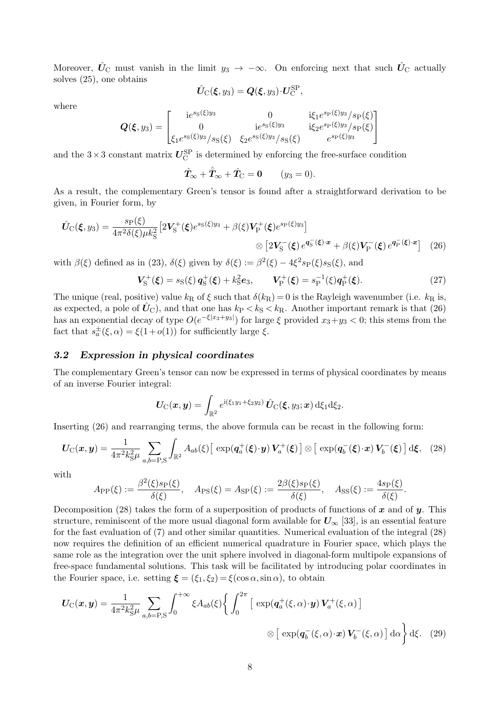Moreover,  $\hat{U}_{\text{C}}$  must vanish in the limit  $y_3 \to -\infty$ . On enforcing next that such  $\hat{U}_{\text{C}}$  actually solves (25), one obtains

$$
\hat{\boldsymbol{U}}_{\text{C}}(\boldsymbol{\xi},y_3)=\boldsymbol{Q}(\boldsymbol{\xi},y_3)\!\cdot\!\boldsymbol{U}_{\text{C}}^{\text{SP}},
$$

where

$$
\mathbf{Q}(\xi, y_3) = \begin{bmatrix} i e^{s_S(\xi)y_3} & 0 & i \xi_1 e^{s_P(\xi)y_3} / s_P(\xi) \\ 0 & i e^{s_S(\xi)y_3} & i \xi_2 e^{s_P(\xi)y_3} / s_P(\xi) \\ \xi_1 e^{s_S(\xi)y_3} / s_S(\xi) & \xi_2 e^{s_S(\xi)y_3} / s_S(\xi) & e^{s_P(\xi)y_3} \end{bmatrix}
$$

and the  $3 \times 3$  constant matrix  $U_C^{\text{SP}}$  is determined by enforcing the free-surface condition

$$
\hat{T}_{\infty} + \hat{T}_{\infty} + \hat{T}_{\rm C} = \mathbf{0} \qquad (y_3 = 0).
$$

As a result, the complementary Green's tensor is found after a straightforward derivation to be given, in Fourier form, by

$$
\hat{U}_{\text{C}}(\xi, y_3) = \frac{s_{\text{P}}(\xi)}{4\pi^2 \delta(\xi)\mu k_{\text{S}}^2} \left[ 2V_{\text{S}}^+(\xi)e^{s_{\text{S}}(\xi)y_3} + \beta(\xi)V_{\text{P}}^+(\xi)e^{s_{\text{P}}(\xi)y_3} \right] \tag{26}
$$
\n
$$
\otimes \left[ 2V_{\text{S}}^-(\xi)e^{q_{\text{S}}^-(\xi)\cdot x} + \beta(\xi)V_{\text{P}}^-(\xi)e^{q_{\text{P}}^-(\xi)\cdot x} \right]
$$

with  $\beta(\xi)$  defined as in (23),  $\delta(\xi)$  given by  $\delta(\xi) := \beta^2(\xi) - 4\xi^2 s_P(\xi) s_S(\xi)$ , and

$$
V_{\rm S}^+(\xi) = s_{\rm S}(\xi) \, q_{\rm S}^+(\xi) + k_{\rm S}^2 e_3, \qquad V_{\rm P}^+(\xi) = s_{\rm P}^{-1}(\xi) q_{\rm P}^+(\xi). \tag{27}
$$

The unique (real, positive) value  $k_R$  of  $\xi$  such that  $\delta(k_R) = 0$  is the Rayleigh wavenumber (i.e.  $k_R$  is, as expected, a pole of  $\hat{U}_{\text{C}}$ ), and that one has  $k_{\text{P}} < k_{\text{S}} < k_{\text{R}}$ . Another important remark is that (26) has an exponential decay of type  $O(e^{-\xi|x_3+y_3|})$  for large  $\xi$  provided  $x_3+y_3 < 0$ ; this stems from the fact that  $s_a^{\pm}(\xi, \alpha) = \xi(1+o(1))$  for sufficiently large  $\xi$ .

## 3.2 Expression in physical coordinates

The complementary Green's tensor can now be expressed in terms of physical coordinates by means of an inverse Fourier integral:

$$
\boldsymbol{U}_{\mathrm{C}}(\boldsymbol{x},\boldsymbol{y})=\int_{\mathbb{R}^2}e^{\mathrm{i}(\xi_1y_1+\xi_2y_2)}\hat{\boldsymbol{U}}_{\mathrm{C}}(\boldsymbol{\xi},y_3;\boldsymbol{x})\,\mathrm{d}\xi_1\mathrm{d}\xi_2.
$$

Inserting (26) and rearranging terms, the above formula can be recast in the following form:

$$
\boldsymbol{U}_{\text{C}}(\boldsymbol{x},\boldsymbol{y}) = \frac{1}{4\pi^2 k_{\text{S}}^2 \mu} \sum_{a,b=\text{P},\text{S}} \int_{\mathbb{R}^2} A_{ab}(\xi) \left[ \exp(\boldsymbol{q}_a^+(\xi) \cdot \boldsymbol{y}) \, \boldsymbol{V}_a^+(\xi) \right] \otimes \left[ \exp(\boldsymbol{q}_b^-(\xi) \cdot \boldsymbol{x}) \, \boldsymbol{V}_b^-(\xi) \right] \mathrm{d}\xi, \tag{28}
$$

with

$$
A_{\rm PP}(\xi) := \frac{\beta^2(\xi)s_{\rm P}(\xi)}{\delta(\xi)}, \quad A_{\rm PS}(\xi) = A_{\rm SP}(\xi) := \frac{2\beta(\xi)s_{\rm P}(\xi)}{\delta(\xi)}, \quad A_{\rm SS}(\xi) := \frac{4s_{\rm P}(\xi)}{\delta(\xi)}.
$$

Decomposition (28) takes the form of a superposition of products of functions of x and of y. This structure, reminiscent of the more usual diagonal form available for  $U_{\infty}$  [33], is an essential feature for the fast evaluation of (7) and other similar quantities. Numerical evaluation of the integral (28) now requires the definition of an efficient numerical quadrature in Fourier space, which plays the same role as the integration over the unit sphere involved in diagonal-form multipole expansions of free-space fundamental solutions. This task will be facilitated by introducing polar coordinates in the Fourier space, i.e. setting  $\boldsymbol{\xi} = (\xi_1, \xi_2) = \xi(\cos \alpha, \sin \alpha)$ , to obtain

$$
\boldsymbol{U}_{\text{C}}(\boldsymbol{x}, \boldsymbol{y}) = \frac{1}{4\pi^2 k_{\text{S}}^2 \mu} \sum_{a,b=\text{P},\text{S}} \int_0^{+\infty} \xi A_{ab}(\xi) \left\{ \int_0^{2\pi} \left[ \exp(\boldsymbol{q}_a^+(\xi,\alpha) \cdot \boldsymbol{y}) \, \boldsymbol{V}_a^+(\xi,\alpha) \right] \right. \\ \left. \otimes \left[ \exp(\boldsymbol{q}_b^-(\xi,\alpha) \cdot \boldsymbol{x}) \, \boldsymbol{V}_b^-(\xi,\alpha) \right] \, \mathrm{d}\alpha \right\} \mathrm{d}\xi. \tag{29}
$$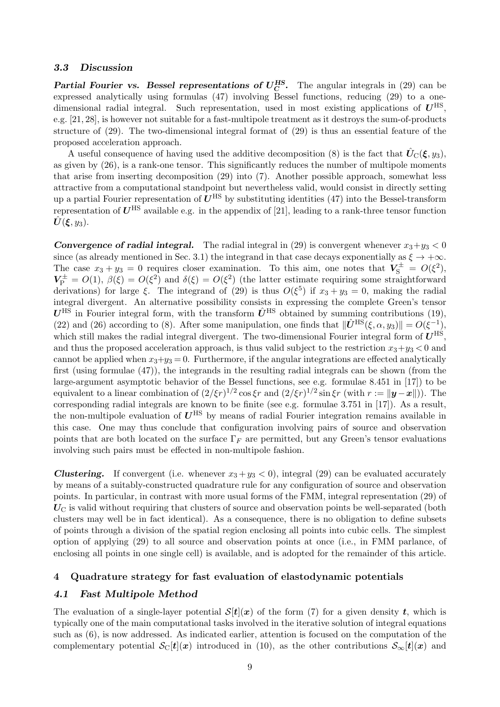#### 3.3 Discussion

**Partial Fourier vs. Bessel representations of**  $U_C^{HS}$ **.** The angular integrals in (29) can be expressed analytically using formulas (47) involving Bessel functions, reducing (29) to a onedimensional radial integral. Such representation, used in most existing applications of  $U^{\text{HS}}$ , e.g. [21, 28], is however not suitable for a fast-multipole treatment as it destroys the sum-of-products structure of (29). The two-dimensional integral format of (29) is thus an essential feature of the proposed acceleration approach.

A useful consequence of having used the additive decomposition (8) is the fact that  $\hat{U}_{C}(\xi, y_3)$ , as given by (26), is a rank-one tensor. This significantly reduces the number of multipole moments that arise from inserting decomposition (29) into (7). Another possible approach, somewhat less attractive from a computational standpoint but nevertheless valid, would consist in directly setting up a partial Fourier representation of  $\bar{U}^{\text{HS}}$  by substituting identities (47) into the Bessel-transform representation of  $U^{\text{HS}}$  available e.g. in the appendix of [21], leading to a rank-three tensor function  $\hat{U}(\xi, y_3)$ .

**Convergence of radial integral.** The radial integral in (29) is convergent whenever  $x_3+y_3 < 0$ since (as already mentioned in Sec. 3.1) the integrand in that case decays exponentially as  $\xi \to +\infty$ . The case  $x_3 + y_3 = 0$  requires closer examination. To this aim, one notes that  $V_s^{\pm} = O(\xi^2)$ ,  $V_P^{\pm} = O(1)$ ,  $\beta(\xi) = O(\xi^2)$  and  $\delta(\xi) = O(\xi^2)$  (the latter estimate requiring some straightforward derivations) for large  $\xi$ . The integrand of (29) is thus  $O(\xi^5)$  if  $x_3 + y_3 = 0$ , making the radial integral divergent. An alternative possibility consists in expressing the complete Green's tensor  $U^{\rm HS}$  in Fourier integral form, with the transform  $\hat{U}^{\rm HS}$  obtained by summing contributions (19), (22) and (26) according to (8). After some manipulation, one finds that  $\|\hat{\mathbf{U}}^{\text{HS}}(\xi,\alpha,y_3)\| = O(\xi^{-1}),$ which still makes the radial integral divergent. The two-dimensional Fourier integral form of  $U^{\text{HS}}$ , and thus the proposed acceleration approach, is thus valid subject to the restriction  $x_3+y_3 < 0$  and cannot be applied when  $x_3+y_3=0$ . Furthermore, if the angular integrations are effected analytically first (using formulae (47)), the integrands in the resulting radial integrals can be shown (from the large-argument asymptotic behavior of the Bessel functions, see e.g. formulae 8.451 in [17]) to be equivalent to a linear combination of  $(2/\xi r)^{1/2} \cos \xi r$  and  $(2/\xi r)^{1/2} \sin \xi r$  (with  $r := ||\mathbf{y} - \mathbf{x}||$ )). The corresponding radial integrals are known to be finite (see e.g. formulae 3.751 in [17]). As a result, the non-multipole evaluation of  $U^{\text{HS}}$  by means of radial Fourier integration remains available in this case. One may thus conclude that configuration involving pairs of source and observation points that are both located on the surface  $\Gamma_F$  are permitted, but any Green's tensor evaluations involving such pairs must be effected in non-multipole fashion.

**Clustering.** If convergent (i.e. whenever  $x_3 + y_3 < 0$ ), integral (29) can be evaluated accurately by means of a suitably-constructed quadrature rule for any configuration of source and observation points. In particular, in contrast with more usual forms of the FMM, integral representation (29) of  $U_{\text{C}}$  is valid without requiring that clusters of source and observation points be well-separated (both clusters may well be in fact identical). As a consequence, there is no obligation to define subsets of points through a division of the spatial region enclosing all points into cubic cells. The simplest option of applying (29) to all source and observation points at once (i.e., in FMM parlance, of enclosing all points in one single cell) is available, and is adopted for the remainder of this article.

## 4 Quadrature strategy for fast evaluation of elastodynamic potentials

# 4.1 Fast Multipole Method

The evaluation of a single-layer potential  $S[t](x)$  of the form (7) for a given density t, which is typically one of the main computational tasks involved in the iterative solution of integral equations such as (6), is now addressed. As indicated earlier, attention is focused on the computation of the complementary potential  $\mathcal{S}_{\text{C}}[t](x)$  introduced in (10), as the other contributions  $\mathcal{S}_{\infty}[t](x)$  and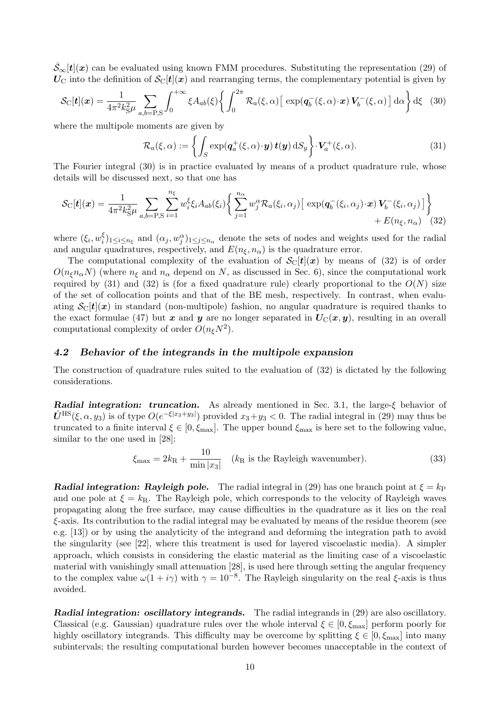$\bar{\mathcal{S}}_{\infty}[t](x)$  can be evaluated using known FMM procedures. Substituting the representation (29) of  $U_{\rm C}$  into the definition of  $S_{\rm C}[t](x)$  and rearranging terms, the complementary potential is given by

$$
\mathcal{S}_{\text{C}}[\boldsymbol{t}](\boldsymbol{x}) = \frac{1}{4\pi^2 k_{\text{S}}^2 \mu} \sum_{a,b=\text{P},\text{S}} \int_0^{+\infty} \xi A_{ab}(\xi) \left\{ \int_0^{2\pi} \mathcal{R}_a(\xi,\alpha) \left[ \exp(\boldsymbol{q}_b^-(\xi,\alpha) \cdot \boldsymbol{x}) \, \boldsymbol{V}_b^-(\xi,\alpha) \right] \, \mathrm{d}\alpha \right\} \mathrm{d}\xi \tag{30}
$$

where the multipole moments are given by

$$
\mathcal{R}_a(\xi,\alpha) := \left\{ \int_S \exp(q_a^+(\xi,\alpha) \cdot \mathbf{y}) \, \mathbf{t}(\mathbf{y}) \, \mathrm{d}S_{\mathbf{y}} \right\} \cdot V_a^+(\xi,\alpha). \tag{31}
$$

The Fourier integral (30) is in practice evaluated by means of a product quadrature rule, whose details will be discussed next, so that one has

$$
\mathcal{S}_{\text{C}}[\boldsymbol{t}](\boldsymbol{x}) = \frac{1}{4\pi^2 k_{\text{S}}^2 \mu} \sum_{a,b=\text{P},\text{S}} \sum_{i=1}^{n_{\xi}} w_i^{\xi} \xi_i A_{ab}(\xi_i) \bigg\{ \sum_{j=1}^{n_{\alpha}} w_j^{\alpha} \mathcal{R}_a(\xi_i,\alpha_j) \big[ \exp(\boldsymbol{q}_b^{-}(\xi_i,\alpha_j) \cdot \boldsymbol{x}) \, \boldsymbol{V}_b^{-}(\xi_i,\alpha_j) \big] \bigg\} + E(n_{\xi},n_{\alpha}) \tag{32}
$$

where  $(\xi_i, w_i^{\xi})$  $\binom{5}{i}1 \leq i \leq n_{\xi}$  and  $(\alpha_j, w_j^{\alpha})1 \leq j \leq n_{\alpha}$  denote the sets of nodes and weights used for the radial and angular quadratures, respectively, and  $E(n<sub>\xi</sub>, n<sub>\alpha</sub>)$  is the quadrature error.

The computational complexity of the evaluation of  $S_{\text{C}}[t](x)$  by means of (32) is of order  $O(n_{\xi}n_{\alpha}N)$  (where  $n_{\xi}$  and  $n_{\alpha}$  depend on N, as discussed in Sec. 6), since the computational work required by (31) and (32) is (for a fixed quadrature rule) clearly proportional to the  $O(N)$  size of the set of collocation points and that of the BE mesh, respectively. In contrast, when evaluating  $S_{\rm C}[t](x)$  in standard (non-multipole) fashion, no angular quadrature is required thanks to the exact formulae (47) but x and y are no longer separated in  $U_{\rm C}(x, y)$ , resulting in an overall computational complexity of order  $O(n_{\xi}N^2)$ .

#### 4.2 Behavior of the integrands in the multipole expansion

The construction of quadrature rules suited to the evaluation of (32) is dictated by the following considerations.

Radial integration: truncation. As already mentioned in Sec. 3.1, the large- $\xi$  behavior of  $\hat{U}^{\text{HS}}(\xi,\alpha,y_3)$  is of type  $O(e^{-\xi|x_3+y_3|})$  provided  $x_3+y_3<0$ . The radial integral in (29) may thus be truncated to a finite interval  $\xi \in [0, \xi_{\text{max}}]$ . The upper bound  $\xi_{\text{max}}$  is here set to the following value, similar to the one used in [28]:

$$
\xi_{\text{max}} = 2k_{\text{R}} + \frac{10}{\min|x_3|} \quad (k_{\text{R}} \text{ is the Rayleigh wavenumber}). \tag{33}
$$

**Radial integration: Rayleigh pole.** The radial integral in (29) has one branch point at  $\xi = k_P$ and one pole at  $\xi = k_{\rm R}$ . The Rayleigh pole, which corresponds to the velocity of Rayleigh waves propagating along the free surface, may cause difficulties in the quadrature as it lies on the real ξ-axis. Its contribution to the radial integral may be evaluated by means of the residue theorem (see e.g. [13]) or by using the analyticity of the integrand and deforming the integration path to avoid the singularity (see [22], where this treatment is used for layered viscoelastic media). A simpler approach, which consists in considering the elastic material as the limiting case of a viscoelastic material with vanishingly small attenuation [28], is used here through setting the angular frequency to the complex value  $\omega(1+i\gamma)$  with  $\gamma=10^{-8}$ . The Rayleigh singularity on the real  $\xi$ -axis is thus avoided.

Radial integration: oscillatory integrands. The radial integrands in (29) are also oscillatory. Classical (e.g. Gaussian) quadrature rules over the whole interval  $\xi \in [0, \xi_{\text{max}}]$  perform poorly for highly oscillatory integrands. This difficulty may be overcome by splitting  $\xi \in [0, \xi_{\text{max}}]$  into many subintervals; the resulting computational burden however becomes unacceptable in the context of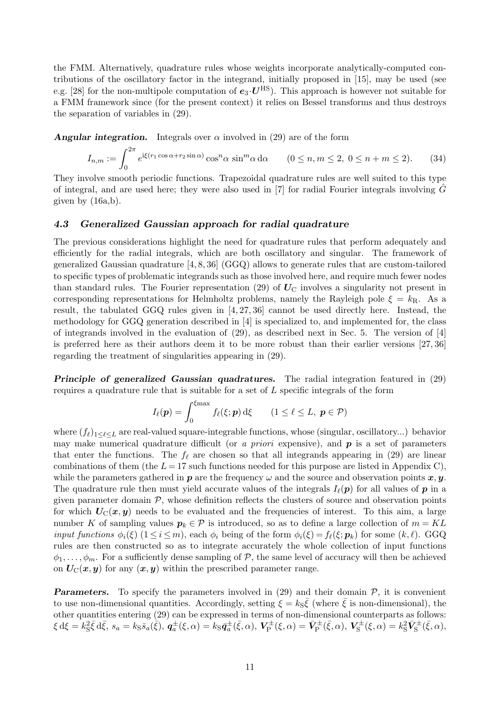the FMM. Alternatively, quadrature rules whose weights incorporate analytically-computed contributions of the oscillatory factor in the integrand, initially proposed in [15], may be used (see e.g. [28] for the non-multipole computation of  $e_3 \cdot U^{\text{HS}}$ ). This approach is however not suitable for a FMM framework since (for the present context) it relies on Bessel transforms and thus destroys the separation of variables in (29).

**Angular integration.** Integrals over  $\alpha$  involved in (29) are of the form

$$
I_{n,m} := \int_0^{2\pi} e^{i\xi(r_1 \cos \alpha + r_2 \sin \alpha)} \cos^n \alpha \sin^m \alpha \, d\alpha \qquad (0 \le n, m \le 2, 0 \le n + m \le 2). \tag{34}
$$

They involve smooth periodic functions. Trapezoidal quadrature rules are well suited to this type of integral, and are used here; they were also used in [7] for radial Fourier integrals involving  $\ddot{G}$ given by  $(16a,b)$ .

## 4.3 Generalized Gaussian approach for radial quadrature

The previous considerations highlight the need for quadrature rules that perform adequately and efficiently for the radial integrals, which are both oscillatory and singular. The framework of generalized Gaussian quadrature [4, 8, 36] (GGQ) allows to generate rules that are custom-tailored to specific types of problematic integrands such as those involved here, and require much fewer nodes than standard rules. The Fourier representation  $(29)$  of  $U_{\rm C}$  involves a singularity not present in corresponding representations for Helmholtz problems, namely the Rayleigh pole  $\xi = k_R$ . As a result, the tabulated GGQ rules given in [4, 27, 36] cannot be used directly here. Instead, the methodology for GGQ generation described in [4] is specialized to, and implemented for, the class of integrands involved in the evaluation of (29), as described next in Sec. 5. The version of [4] is preferred here as their authors deem it to be more robust than their earlier versions [27, 36] regarding the treatment of singularities appearing in (29).

Principle of generalized Gaussian quadratures. The radial integration featured in (29) requires a quadrature rule that is suitable for a set of  $L$  specific integrals of the form

$$
I_{\ell}(\boldsymbol{p}) = \int_0^{\xi_{\max}} f_{\ell}(\xi; \boldsymbol{p}) \,d\xi \qquad (1 \leq \ell \leq L, \ \boldsymbol{p} \in \mathcal{P})
$$

where  $(f_\ell)_{1\leq \ell \leq L}$  are real-valued square-integrable functions, whose (singular, oscillatory...) behavior may make numerical quadrature difficult (or a priori expensive), and  $p$  is a set of parameters that enter the functions. The  $f_\ell$  are chosen so that all integrands appearing in (29) are linear combinations of them (the  $L = 17$  such functions needed for this purpose are listed in Appendix C), while the parameters gathered in  $p$  are the frequency  $\omega$  and the source and observation points  $x, y$ . The quadrature rule then must yield accurate values of the integrals  $I_{\ell}(p)$  for all values of p in a given parameter domain  $P$ , whose definition reflects the clusters of source and observation points for which  $U_{\rm C}(x, y)$  needs to be evaluated and the frequencies of interest. To this aim, a large number K of sampling values  $p_k \in \mathcal{P}$  is introduced, so as to define a large collection of  $m = KL$ input functions  $\phi_i(\xi)$   $(1 \leq i \leq m)$ , each  $\phi_i$  being of the form  $\phi_i(\xi) = f_\ell(\xi; \mathbf{p}_k)$  for some  $(k, \ell)$ . GGQ rules are then constructed so as to integrate accurately the whole collection of input functions  $\phi_1, \ldots, \phi_m$ . For a sufficiently dense sampling of P, the same level of accuracy will then be achieved on  $U_{\rm C}(x, y)$  for any  $(x, y)$  within the prescribed parameter range.

**Parameters.** To specify the parameters involved in  $(29)$  and their domain  $P$ , it is convenient to use non-dimensional quantities. Accordingly, setting  $\xi = k_S \bar{\xi}$  (where  $\bar{\xi}$  is non-dimensional), the other quantities entering (29) can be expressed in terms of non-dimensional counterparts as follows:  $\xi \, d\xi = k_S^2 \bar{\xi} \, d\bar{\xi}, \, s_a = k_S \bar{s}_a(\bar{\xi}), \, \boldsymbol{q}^{\pm}_a(\xi, \alpha) = k_S \boldsymbol{\bar{q}}^{\pm}_a(\bar{\xi}, \alpha), \, \boldsymbol{V}^{\pm}_P$  $V_P^{\pm}(\xi,\alpha) = \bar{V}_{\rm P}^{\pm}(\bar{\xi},\alpha), V_{\rm S}^{\pm}$  $S_{\rm S}^{\pm}(\xi,\alpha) = k_{\rm S}^2 \bar{V}_{\rm S}^{\pm}(\bar{\xi},\alpha),$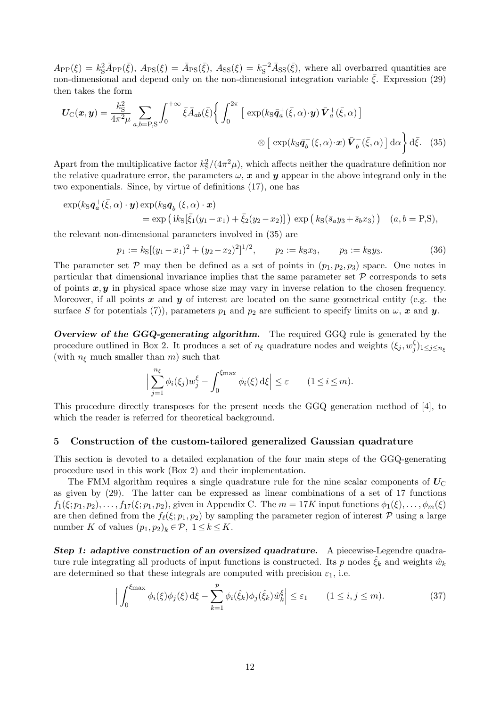$A_{\rm PP}(\xi) = k_{\rm S}^2 \bar{A}_{\rm PP}(\bar{\xi}), A_{\rm PS}(\xi) = \bar{A}_{\rm PS}(\bar{\xi}), A_{\rm SS}(\xi) = k_{\rm S}^{-2} \bar{A}_{\rm SS}(\bar{\xi}),$  where all overbarred quantities are non-dimensional and depend only on the non-dimensional integration variable  $\bar{\xi}$ . Expression (29) then takes the form

$$
\boldsymbol{U}_{\text{C}}(\boldsymbol{x}, \boldsymbol{y}) = \frac{k_{\text{S}}^2}{4\pi^2 \mu} \sum_{a,b=\text{P},\text{S}} \int_0^{+\infty} \bar{\xi} \bar{A}_{ab}(\bar{\xi}) \left\{ \int_0^{2\pi} \left[ \exp(k_{\text{S}} \bar{\boldsymbol{q}}_a^+(\bar{\xi}, \alpha) \cdot \boldsymbol{y}) \, \bar{\boldsymbol{V}}_a^+(\bar{\xi}, \alpha) \right] \right. \\ \left. \otimes \left[ \exp(k_{\text{S}} \bar{\boldsymbol{q}}_b^-(\xi, \alpha) \cdot \boldsymbol{x}) \, \bar{\boldsymbol{V}}_b^-(\bar{\xi}, \alpha) \right] \, \mathrm{d}\alpha \right\} \mathrm{d}\bar{\xi}. \tag{35}
$$

Apart from the multiplicative factor  $k_S^2/(4\pi^2\mu)$ , which affects neither the quadrature definition nor the relative quadrature error, the parameters  $\omega$ , x and y appear in the above integrand only in the two exponentials. Since, by virtue of definitions (17), one has

$$
\exp(k_{\rm S}\bar{q}_a^+(\bar{\xi},\alpha)\cdot\mathbf{y})\exp(k_{\rm S}\bar{q}_b^-(\xi,\alpha)\cdot\mathbf{x})
$$
  
= 
$$
\exp\left(ik_{\rm S}[\bar{\xi}_1(y_1-x_1)+\bar{\xi}_2(y_2-x_2)]\right)\exp\left(k_{\rm S}(\bar{s}_a y_3+\bar{s}_b x_3)\right)\quad(a,b=\rm P,\rm S),
$$

the relevant non-dimensional parameters involved in (35) are

$$
p_1 := k_S[(y_1 - x_1)^2 + (y_2 - x_2)^2]^{1/2}, \qquad p_2 := k_S x_3, \qquad p_3 := k_S y_3.
$$
 (36)

The parameter set  $\mathcal P$  may then be defined as a set of points in  $(p_1, p_2, p_3)$  space. One notes in particular that dimensional invariance implies that the same parameter set  $P$  corresponds to sets of points  $x, y$  in physical space whose size may vary in inverse relation to the chosen frequency. Moreover, if all points x and y of interest are located on the same geometrical entity (e.g. the surface S for potentials (7)), parameters  $p_1$  and  $p_2$  are sufficient to specify limits on  $\omega$ , x and y.

Overview of the GGQ-generating algorithm. The required GGQ rule is generated by the procedure outlined in Box 2. It produces a set of  $n_{\xi}$  quadrature nodes and weights  $(\xi_j, w_j^{\xi_j})$  $\binom{5}{j}$ 1 $\leq j \leq n_{\xi}$ (with  $n_{\xi}$  much smaller than m) such that

$$
\Big|\sum_{j=1}^{n_{\xi}} \phi_i(\xi_j) w_j^{\xi} - \int_0^{\xi_{\max}} \phi_i(\xi) d\xi\Big| \leq \varepsilon \qquad (1 \leq i \leq m).
$$

This procedure directly transposes for the present needs the GGQ generation method of [4], to which the reader is referred for theoretical background.

#### 5 Construction of the custom-tailored generalized Gaussian quadrature

This section is devoted to a detailed explanation of the four main steps of the GGQ-generating procedure used in this work (Box 2) and their implementation.

The FMM algorithm requires a single quadrature rule for the nine scalar components of  $U_{\text{C}}$ as given by (29). The latter can be expressed as linear combinations of a set of 17 functions  $f_1(\xi; p_1, p_2), \ldots, f_{17}(\xi; p_1, p_2)$ , given in Appendix C. The  $m = 17K$  input functions  $\phi_1(\xi), \ldots, \phi_m(\xi)$ are then defined from the  $f_{\ell}(\xi; p_1, p_2)$  by sampling the parameter region of interest P using a large number K of values  $(p_1, p_2)_k \in \mathcal{P}, 1 \leq k \leq K$ .

Step 1: adaptive construction of an oversized quadrature. A piecewise-Legendre quadrature rule integrating all products of input functions is constructed. Its p nodes  $\xi_k$  and weights  $\hat{w}_k$ are determined so that these integrals are computed with precision  $\varepsilon_1$ , i.e.

$$
\Big| \int_0^{\xi_{\max}} \phi_i(\xi) \phi_j(\xi) d\xi - \sum_{k=1}^p \phi_i(\hat{\xi}_k) \phi_j(\hat{\xi}_k) \hat{w}_k^{\xi} \Big| \le \varepsilon_1 \qquad (1 \le i, j \le m). \tag{37}
$$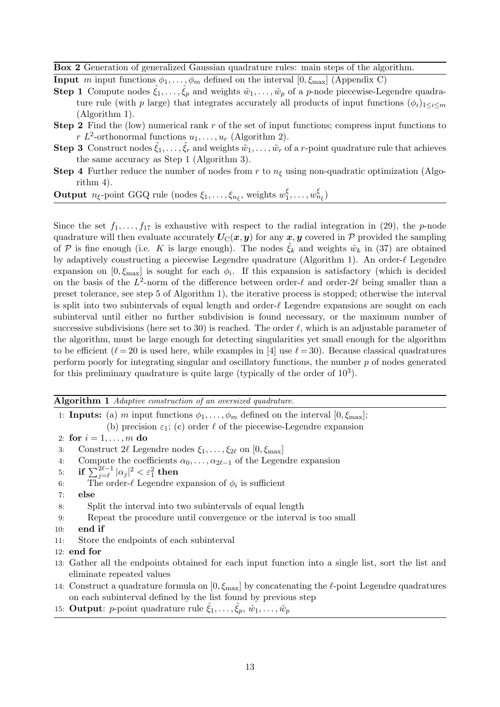Box 2 Generation of generalized Gaussian quadrature rules: main steps of the algorithm.

**Input** m input functions  $\phi_1, \ldots, \phi_m$  defined on the interval  $[0, \xi_{\text{max}}]$  (Appendix C)

- **Step 1** Compute nodes  $\hat{\xi}_1,\ldots,\hat{\xi}_p$  and weights  $\hat{w}_1,\ldots,\hat{w}_p$  of a p-node piecewise-Legendre quadrature rule (with p large) that integrates accurately all products of input functions  $(\phi_i)_{1\leq i\leq m}$ (Algorithm 1).
- **Step 2** Find the (low) numerical rank r of the set of input functions; compress input functions to  $r L^2$ -orthonormal functions  $u_1, \ldots, u_r$  (Algorithm 2).
- **Step 3** Construct nodes  $\tilde{\xi}_1,\ldots,\tilde{\xi}_r$  and weights  $\tilde{w}_1,\ldots,\tilde{w}_r$  of a r-point quadrature rule that achieves the same accuracy as Step 1 (Algorithm 3).
- **Step 4** Further reduce the number of nodes from r to  $n_{\xi}$  using non-quadratic optimization (Algorithm 4).

**Output**  $n_{\xi}$ -point GGQ rule (nodes  $\xi_1, \ldots, \xi_{n_{\xi}}$ , weights  $w_1^{\xi}$  $\zeta_1^{\xi}, \ldots, w_{n_{\xi}}^{\xi}$ 

Since the set  $f_1, \ldots, f_{17}$  is exhaustive with respect to the radial integration in (29), the p-node quadrature will then evaluate accurately  $U_{\mathcal{C}}(x, y)$  for any  $x, y$  covered in P provided the sampling of P is fine enough (i.e. K is large enough). The nodes  $\hat{\xi}_k$  and weights  $\hat{w}_k$  in (37) are obtained by adaptively constructing a piecewise Legendre quadrature (Algorithm 1). An order- $\ell$  Legendre expansion on  $[0, \xi_{\text{max}}]$  is sought for each  $\phi_i$ . If this expansion is satisfactory (which is decided on the basis of the  $L^2$ -norm of the difference between order- $\ell$  and order- $2\ell$  being smaller than a preset tolerance, see step 5 of Algorithm 1), the iterative process is stopped; otherwise the interval is split into two subintervals of equal length and order- $\ell$  Legendre expansions are sought on each subinterval until either no further subdivision is found necessary, or the maximum number of successive subdivisions (here set to 30) is reached. The order  $\ell$ , which is an adjustable parameter of the algorithm, must be large enough for detecting singularities yet small enough for the algorithm to be efficient ( $\ell = 20$  is used here, while examples in [4] use  $\ell = 30$ ). Because classical quadratures perform poorly for integrating singular and oscillatory functions, the number p of nodes generated for this preliminary quadrature is quite large (typically of the order of  $10<sup>3</sup>$ ).

Algorithm 1 Adaptive construction of an oversized quadrature.

1: **Inputs:** (a) m input functions  $\phi_1, \ldots, \phi_m$  defined on the interval  $[0, \xi_{\text{max}}]$ ; (b) precision  $\varepsilon_1$ ; (c) order  $\ell$  of the piecewise-Legendre expansion

- 4: Compute the coefficients  $\alpha_0, \ldots, \alpha_{2\ell-1}$  of the Legendre expansion
- $\quad\text{if } \sum_{j=\ell}^{\bar{2}\ell-1}|\alpha_j|^2<\varepsilon_1^2 \text{ then}$
- 6: The order- $\ell$  Legendre expansion of  $\phi_i$  is sufficient
- 7: else

8: Split the interval into two subintervals of equal length

- 9: Repeat the procedure until convergence or the interval is too small
- 10: end if
- 11: Store the endpoints of each subinterval
- 12: end for
- 13: Gather all the endpoints obtained for each input function into a single list, sort the list and eliminate repeated values
- 14: Construct a quadrature formula on  $[0, \xi_{\text{max}}]$  by concatenating the  $\ell$ -point Legendre quadratures on each subinterval defined by the list found by previous step
- 15: Output: p-point quadrature rule  $\hat{\xi}_1,\ldots,\hat{\xi}_p,\,\hat{w}_1,\ldots,\hat{w}_p$

<sup>2:</sup> for  $i = 1, ..., m$  do

<sup>3:</sup> Construct  $2\ell$  Legendre nodes  $\xi_1, \ldots, \xi_{2\ell}$  on  $[0, \xi_{\text{max}}]$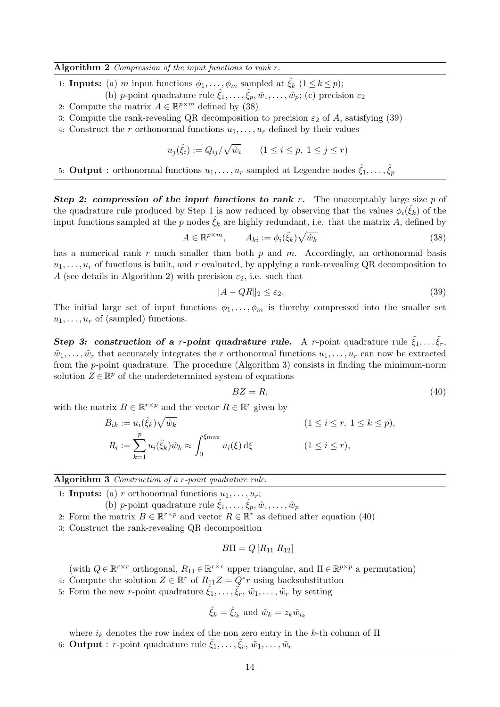Algorithm 2 Compression of the input functions to rank r.

1: **Inputs:** (a) m input functions  $\phi_1, \ldots, \phi_m$  sampled at  $\hat{\xi}_k$   $(1 \leq k \leq p)$ ;

- (b) *p*-point quadrature rule  $\hat{\xi}_1, \ldots, \hat{\xi}_p, \hat{w}_1, \ldots, \hat{w}_p$ ; (c) precision  $\varepsilon_2$
- 2: Compute the matrix  $A \in \mathbb{R}^{p \times m}$  defined by  $(38)$
- 3: Compute the rank-revealing QR decomposition to precision  $\varepsilon_2$  of A, satisfying (39)
- 4: Construct the r orthonormal functions  $u_1, \ldots, u_r$  defined by their values

$$
u_j(\tilde{\xi}_i) := Q_{ij}/\sqrt{\tilde{w}_i} \qquad (1 \le i \le p, \ 1 \le j \le r)
$$

5: **Output** : orthonormal functions  $u_1, \ldots, u_r$  sampled at Legendre nodes  $\tilde{\xi}_1, \ldots, \tilde{\xi}_p$ 

**Step 2: compression of the input functions to rank r.** The unacceptably large size p of the quadrature rule produced by Step 1 is now reduced by observing that the values  $\phi_i(\hat{\xi}_k)$  of the input functions sampled at the p nodes  $\xi_k$  are highly redundant, i.e. that the matrix A, defined by

$$
A \in \mathbb{R}^{p \times m}, \qquad A_{ki} := \phi_i(\hat{\xi}_k) \sqrt{\hat{w}_k} \tag{38}
$$

has a numerical rank r much smaller than both p and  $m$ . Accordingly, an orthonormal basis  $u_1, \ldots, u_r$  of functions is built, and r evaluated, by applying a rank-revealing QR decomposition to A (see details in Algorithm 2) with precision  $\varepsilon_2$ , i.e. such that

$$
||A - QR||_2 \le \varepsilon_2. \tag{39}
$$

The initial large set of input functions  $\phi_1, \ldots, \phi_m$  is thereby compressed into the smaller set  $u_1, \ldots, u_r$  of (sampled) functions.

Step 3: construction of a r-point quadrature rule. A r-point quadrature rule  $\tilde{\xi}_1, \ldots, \tilde{\xi}_r$  $\tilde{w}_1, \ldots, \tilde{w}_r$  that accurately integrates the r orthonormal functions  $u_1, \ldots, u_r$  can now be extracted from the p-point quadrature. The procedure (Algorithm 3) consists in finding the minimum-norm solution  $Z \in \mathbb{R}^p$  of the underdetermined system of equations

$$
BZ = R,\t\t(40)
$$

with the matrix  $B \in \mathbb{R}^{r \times p}$  and the vector  $R \in \mathbb{R}^r$  given by

$$
B_{ik} := u_i(\hat{\xi}_k) \sqrt{\hat{w}_k}
$$
  
\n
$$
R_i := \sum_{k=1}^p u_i(\hat{\xi}_k) \hat{w}_k \approx \int_0^{\xi_{\text{max}}} u_i(\xi) d\xi
$$
  
\n
$$
(1 \le i \le r, 1 \le k \le p),
$$
  
\n
$$
(1 \le i \le r),
$$
  
\n
$$
(1 \le i \le r),
$$

Algorithm 3 Construction of a r-point quadrature rule.

- 1: **Inputs:** (a) r orthonormal functions  $u_1, \ldots, u_r$ ; (b) *p*-point quadrature rule  $\hat{\xi}_1, \ldots, \hat{\xi}_p, \hat{w}_1, \ldots, \hat{w}_p$
- 2: Form the matrix  $B \in \mathbb{R}^{r \times p}$  and vector  $R \in \mathbb{R}^r$  as defined after equation (40)

3: Construct the rank-revealing QR decomposition

$$
B\Pi = Q\left[R_{11} \; R_{12}\right]
$$

(with  $Q \in \mathbb{R}^{r \times r}$  orthogonal,  $R_{11} \in \mathbb{R}^{r \times r}$  upper triangular, and  $\Pi \in \mathbb{R}^{p \times p}$  a permutation)

- 4: Compute the solution  $Z \in \mathbb{R}^r$  of  $R_{11}Z = Q^*r$  using backsubstitution
- 5: Form the new *r*-point quadrature  $\tilde{\xi}_1, \ldots, \tilde{\xi}_r, \tilde{w}_1, \ldots, \tilde{w}_r$  by setting

$$
\tilde{\xi}_k = \hat{\xi}_{i_k}
$$
 and  $\tilde{w}_k = z_k \hat{w}_{i_k}$ 

where  $i_k$  denotes the row index of the non zero entry in the k-th column of  $\Pi$ 

6:  $\textbf{Output}: r\text{-point quadrature rule } \tilde{\xi}_1, \ldots, \tilde{\xi}_r, \, \tilde{w}_1, \ldots, \tilde{w}_r$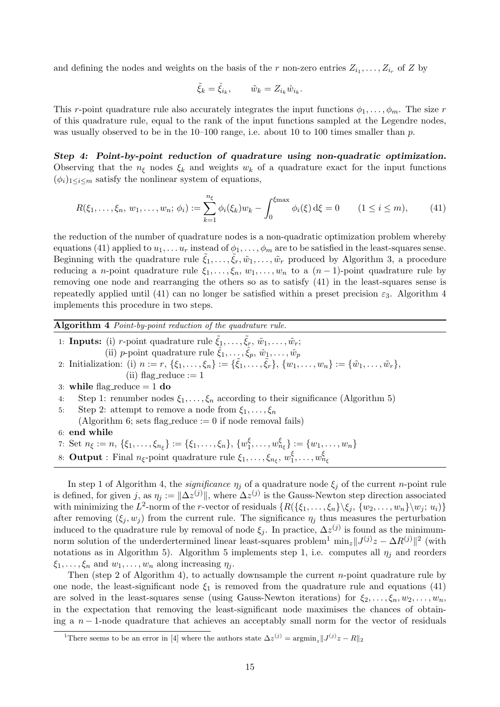and defining the nodes and weights on the basis of the r non-zero entries  $Z_{i_1}, \ldots, Z_{i_r}$  of Z by

$$
\tilde{\xi}_k = \hat{\xi}_{i_k}, \qquad \tilde{w}_k = Z_{i_k} \hat{w}_{i_k}.
$$

This r-point quadrature rule also accurately integrates the input functions  $\phi_1, \ldots, \phi_m$ . The size r of this quadrature rule, equal to the rank of the input functions sampled at the Legendre nodes, was usually observed to be in the 10–100 range, i.e. about 10 to 100 times smaller than p.

Step 4: Point-by-point reduction of quadrature using non-quadratic optimization. Observing that the  $n_{\xi}$  nodes  $\xi_k$  and weights  $w_k$  of a quadrature exact for the input functions  $(\phi_i)_{1\leq i\leq m}$  satisfy the nonlinear system of equations,

$$
R(\xi_1, \dots, \xi_n, w_1, \dots, w_n; \phi_i) := \sum_{k=1}^{n_{\xi}} \phi_i(\xi_k) w_k - \int_0^{\xi_{\text{max}}} \phi_i(\xi) d\xi = 0 \qquad (1 \le i \le m), \tag{41}
$$

the reduction of the number of quadrature nodes is a non-quadratic optimization problem whereby equations (41) applied to  $u_1, \ldots u_r$  instead of  $\phi_1, \ldots, \phi_m$  are to be satisfied in the least-squares sense. Beginning with the quadrature rule  $\tilde{\xi}_1,\ldots,\tilde{\xi}_r,\tilde{w}_1,\ldots,\tilde{w}_r$  produced by Algorithm 3, a procedure reducing a *n*-point quadrature rule  $\xi_1, \ldots, \xi_n, w_1, \ldots, w_n$  to a  $(n-1)$ -point quadrature rule by removing one node and rearranging the others so as to satisfy (41) in the least-squares sense is repeatedly applied until (41) can no longer be satisfied within a preset precision  $\varepsilon_3$ . Algorithm 4 implements this procedure in two steps.

Algorithm 4 Point-by-point reduction of the quadrature rule.

1: Inputs: (i) *r*-point quadrature rule  $\tilde{\xi}_1, \ldots, \tilde{\xi}_r, \tilde{w}_1, \ldots, \tilde{w}_r;$ (ii) p-point quadrature rule  $\hat{\xi}_1, \ldots, \hat{\xi}_p, \hat{w}_1, \ldots, \hat{w}_p$ 2: Initialization: (i)  $n := r, \{\xi_1, \ldots, \xi_n\} := {\{\tilde{\xi}_1, \ldots, \tilde{\xi}_r\}}, \{w_1, \ldots, w_n\} := {\{\tilde{w}_1, \ldots, \tilde{w}_r\}}$ (ii) flag\_reduce  $:= 1$ 3: while flag\_reduce  $= 1$  do 4: Step 1: renumber nodes  $\xi_1, \ldots, \xi_n$  according to their significance (Algorithm 5) 5: Step 2: attempt to remove a node from  $\xi_1, \ldots, \xi_n$ (Algorithm 6; sets flag\_reduce  $:= 0$  if node removal fails) 6: end while 7: Set  $n_{\xi} := n, \{\xi_1, \ldots, \xi_{n_{\xi}}\} := \{\xi_1, \ldots, \xi_n\}, \{w_1^{\xi}\}$  $\{x_1^{\xi}, \ldots, x_{n_{\xi}}^{\xi}\} := \{w_1, \ldots, w_n\}$ 8: **Output** : Final  $n_{\xi}$ -point quadrature rule  $\xi_1, \ldots, \xi_{n_{\xi}}, w_1^{\xi}$  $\zeta_1^{\xi}, \ldots, w_{n_{\xi}}^{\xi}$ 

In step 1 of Algorithm 4, the *significance*  $\eta_i$  of a quadrature node  $\xi_i$  of the current *n*-point rule is defined, for given j, as  $\eta_j := \|\Delta z^{(j)}\|$ , where  $\Delta z^{(j)}$  is the Gauss-Newton step direction associated with minimizing the L<sup>2</sup>-norm of the r-vector of residuals  $\{R(\{\xi_1,\ldots,\xi_n\}\backslash \xi_j, \{w_2,\ldots,w_n\}\backslash w_j; u_i)\}$ after removing  $(\xi_i, w_j)$  from the current rule. The significance  $\eta_i$  thus measures the perturbation induced to the quadrature rule by removal of node  $\xi_j$ . In practice,  $\Delta z^{(j)}$  is found as the minimumnorm solution of the underdertermined linear least-squares problem<sup>1</sup>  $\min_z ||J^{(j)}z - \Delta R^{(j)}||^2$  (with notations as in Algorithm 5). Algorithm 5 implements step 1, i.e. computes all  $\eta_j$  and reorders  $\xi_1, \ldots, \xi_n$  and  $w_1, \ldots, w_n$  along increasing  $\eta_i$ .

Then (step 2 of Algorithm 4), to actually downsample the current *n*-point quadrature rule by one node, the least-significant node  $\xi_1$  is removed from the quadrature rule and equations (41) are solved in the least-squares sense (using Gauss-Newton iterations) for  $\xi_2, \ldots, \xi_n, w_2, \ldots, w_n$ , in the expectation that removing the least-significant node maximises the chances of obtaining a  $n-1$ -node quadrature that achieves an acceptably small norm for the vector of residuals

<sup>&</sup>lt;sup>1</sup>There seems to be an error in [4] where the authors state  $\Delta z^{(j)} = \operatorname{argmin}_z ||J^{(j)}z - R||_2$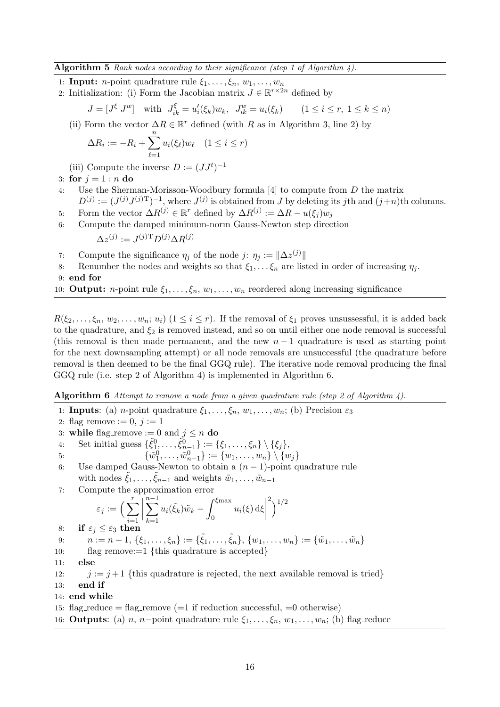# Algorithm 5 Rank nodes according to their significance (step 1 of Algorithm 4).

- 1: **Input:** *n*-point quadrature rule  $\xi_1, \ldots, \xi_n, w_1, \ldots, w_n$
- 2: Initialization: (i) Form the Jacobian matrix  $J \in \mathbb{R}^{r \times 2n}$  defined by

$$
J = [J^{\xi} \, J^w] \quad \text{with} \quad J^{\xi}_{ik} = u'_i(\xi_k) w_k, \ \ J^w_{ik} = u_i(\xi_k) \qquad (1 \le i \le r, \ 1 \le k \le n)
$$

(ii) Form the vector  $\Delta R \in \mathbb{R}^r$  defined (with R as in Algorithm 3, line 2) by

$$
\Delta R_i := -R_i + \sum_{\ell=1}^n u_i(\xi_\ell) w_\ell \quad (1 \le i \le r)
$$

(iii) Compute the inverse  $D := (JJ^t)^{-1}$ 

- 3: for  $j = 1 : n$  do
- 4: Use the Sherman-Morisson-Woodbury formula [4] to compute from D the matrix  $D^{(j)} := (J^{(j)}J^{(j)T})^{-1}$ , where  $J^{(j)}$  is obtained from J by deleting its jth and  $(j+n)$ th columns.
- 5: Form the vector  $\Delta R^{(j)} \in \mathbb{R}^r$  defined by  $\Delta R^{(j)} := \Delta R u(\xi_j) w_j$
- 6: Compute the damped minimum-norm Gauss-Newton step direction  $\Delta z^{(j)} := J^{(j)\mathrm{T}} D^{(j)} \Delta R^{(j)}$
- 7: Compute the significance  $\eta_j$  of the node j:  $\eta_j := \|\Delta z^{(j)}\|$
- 8: Renumber the nodes and weights so that  $\xi_1, \ldots, \xi_n$  are listed in order of increasing  $\eta_i$ .
- 9: end for

10: **Output:** *n*-point rule  $\xi_1, \ldots, \xi_n, w_1, \ldots, w_n$  reordered along increasing significance

 $R(\xi_2,\ldots,\xi_n,w_2,\ldots,w_n;u_i)$   $(1\leq i\leq r)$ . If the removal of  $\xi_1$  proves unsussessful, it is added back to the quadrature, and  $\xi_2$  is removed instead, and so on until either one node removal is successful (this removal is then made permanent, and the new  $n-1$  quadrature is used as starting point for the next downsampling attempt) or all node removals are unsuccessful (the quadrature before removal is then deemed to be the final GGQ rule). The iterative node removal producing the final GGQ rule (i.e. step 2 of Algorithm 4) is implemented in Algorithm 6.

**Algorithm 6** Attempt to remove a node from a given quadrature rule (step 2 of Algorithm 4).

- 1: **Inputs**: (a) *n*-point quadrature  $\xi_1, \ldots, \xi_n, w_1, \ldots, w_n$ ; (b) Precision  $\varepsilon_3$
- 2: flag\_remove := 0,  $j := 1$
- 3: while flag remove := 0 and  $j \leq n$  do
- 4: Set initial guess  $\{\tilde{\xi}_1^0, \ldots, \tilde{\xi}_{n-1}^0\} := {\xi_1, \ldots, \xi_n} \setminus {\xi_j},$
- 5:  $\{\tilde{w}_1^0, \ldots, \tilde{w}_{n-1}^0\} := \{w_1, \ldots, w_n\} \setminus \{w_j\}$
- 6: Use damped Gauss-Newton to obtain a  $(n-1)$ -point quadrature rule with nodes  $\tilde{\xi}_1, \ldots, \tilde{\xi}_{n-1}$  and weights  $\tilde{w}_1, \ldots, \tilde{w}_{n-1}$
- 7: Compute the approximation error

$$
\varepsilon_j := \left(\sum_{i=1}^r \left| \sum_{k=1}^{n-1} u_i(\tilde{\xi}_k) \tilde{w}_k - \int_0^{\xi_{\text{max}}} u_i(\xi) \,d\xi \right|^2\right)^{1/2}
$$

 $\quad \text{if} \; \varepsilon_j \leq \varepsilon_3 \; \text{then}$ 

9: 
$$
n := n - 1, \{\xi_1, \ldots, \xi_n\} := \{\tilde{\xi}_1, \ldots, \tilde{\xi}_n\}, \{w_1, \ldots, w_n\} := \{\tilde{w}_1, \ldots, \tilde{w}_n\}
$$

- 10: flag remove:  $=1$  {this quadrature is accepted}
- 11: else
- 12:  $j := j + 1$  {this quadrature is rejected, the next available removal is tried}
- 13: end if
- 14: end while
- 15: flag\_reduce = flag\_remove  $(=1 \text{ if reduction successful}, =0 \text{ otherwise})$
- 16: **Outputs**: (a) n, n–point quadrature rule  $\xi_1, \ldots, \xi_n, w_1, \ldots, w_n$ ; (b) flag\_reduce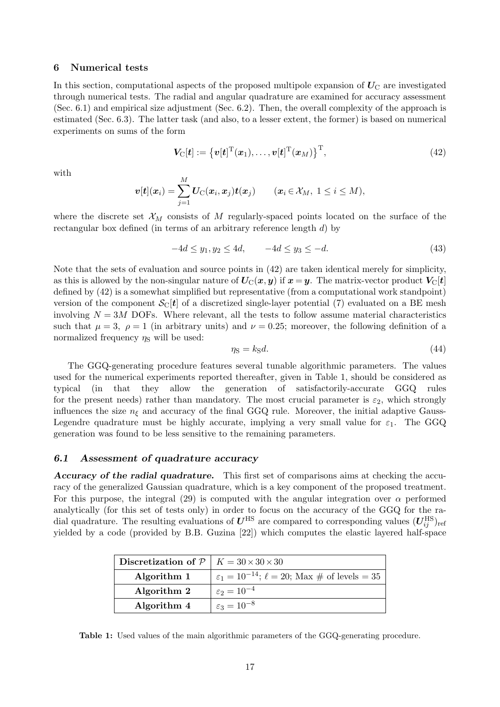#### 6 Numerical tests

In this section, computational aspects of the proposed multipole expansion of  $U_{\rm C}$  are investigated through numerical tests. The radial and angular quadrature are examined for accuracy assessment (Sec. 6.1) and empirical size adjustment (Sec. 6.2). Then, the overall complexity of the approach is estimated (Sec. 6.3). The latter task (and also, to a lesser extent, the former) is based on numerical experiments on sums of the form

$$
\boldsymbol{V}_{\!C}[\boldsymbol{t}] := \{ \boldsymbol{v}[\boldsymbol{t}]^{\mathrm{T}}(\boldsymbol{x}_1), \ldots, \boldsymbol{v}[\boldsymbol{t}]^{\mathrm{T}}(\boldsymbol{x}_M) \}^{\mathrm{T}}, \tag{42}
$$

with

$$
\boldsymbol{v}[\boldsymbol{t}](\boldsymbol{x}_i) = \sum_{j=1}^M \boldsymbol{U}_{\text{C}}(\boldsymbol{x}_i, \boldsymbol{x}_j) \boldsymbol{t}(\boldsymbol{x}_j) \qquad (\boldsymbol{x}_i \in \mathcal{X}_M, \; 1 \leq i \leq M),
$$

where the discrete set  $\mathcal{X}_M$  consists of M regularly-spaced points located on the surface of the rectangular box defined (in terms of an arbitrary reference length d) by

$$
-4d \le y_1, y_2 \le 4d, \qquad -4d \le y_3 \le -d. \tag{43}
$$

Note that the sets of evaluation and source points in (42) are taken identical merely for simplicity, as this is allowed by the non-singular nature of  $U_{\text{C}}(x, y)$  if  $x = y$ . The matrix-vector product  $V_{\text{C}}[t]$ defined by (42) is a somewhat simplified but representative (from a computational work standpoint) version of the component  $\mathcal{S}_{C}[t]$  of a discretized single-layer potential (7) evaluated on a BE mesh involving  $N = 3M$  DOFs. Where relevant, all the tests to follow assume material characteristics such that  $\mu = 3$ ,  $\rho = 1$  (in arbitrary units) and  $\nu = 0.25$ ; moreover, the following definition of a normalized frequency  $\eta_s$  will be used:

$$
\eta_{\rm S} = k_{\rm S} d. \tag{44}
$$

The GGQ-generating procedure features several tunable algorithmic parameters. The values used for the numerical experiments reported thereafter, given in Table 1, should be considered as typical (in that they allow the generation of satisfactorily-accurate GGQ rules for the present needs) rather than mandatory. The most crucial parameter is  $\varepsilon_2$ , which strongly influences the size  $n_{\xi}$  and accuracy of the final GGQ rule. Moreover, the initial adaptive Gauss-Legendre quadrature must be highly accurate, implying a very small value for  $\varepsilon_1$ . The GGQ generation was found to be less sensitive to the remaining parameters.

# 6.1 Assessment of quadrature accuracy

Accuracy of the radial quadrature. This first set of comparisons aims at checking the accuracy of the generalized Gaussian quadrature, which is a key component of the proposed treatment. For this purpose, the integral (29) is computed with the angular integration over  $\alpha$  performed analytically (for this set of tests only) in order to focus on the accuracy of the GGQ for the radial quadrature. The resulting evaluations of  $U^{\text{HS}}$  are compared to corresponding values  $(U^{\text{HS}}_{ij})_{\text{ref}}$ yielded by a code (provided by B.B. Guzina [22]) which computes the elastic layered half-space

| Discretization of $P \mid K = 30 \times 30 \times 30$ |                                                                 |
|-------------------------------------------------------|-----------------------------------------------------------------|
| Algorithm 1                                           | $\varepsilon_1 = 10^{-14}$ ; $\ell = 20$ ; Max # of levels = 35 |
| Algorithm 2                                           | $\varepsilon_2 = 10^{-4}$                                       |
| Algorithm 4                                           | $\varepsilon_3 = 10^{-8}$                                       |

Table 1: Used values of the main algorithmic parameters of the GGQ-generating procedure.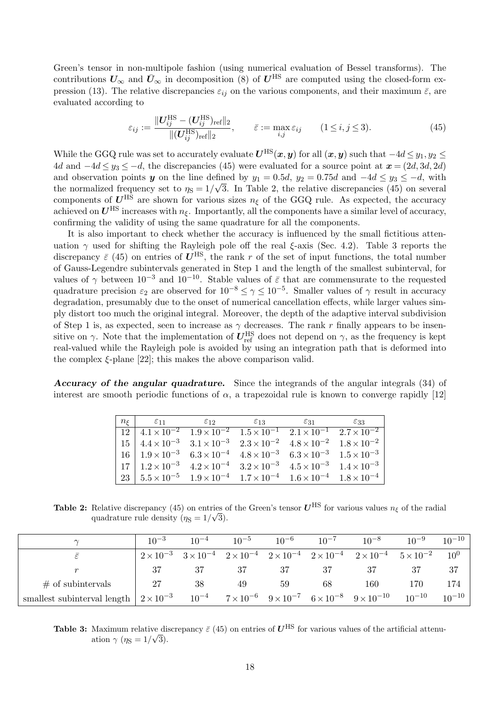Green's tensor in non-multipole fashion (using numerical evaluation of Bessel transforms). The contributions  $U_{\infty}$  and  $\bar{U}_{\infty}$  in decomposition (8) of  $U^{\text{HS}}$  are computed using the closed-form expression (13). The relative discrepancies  $\varepsilon_{ij}$  on the various components, and their maximum  $\bar{\varepsilon}$ , are evaluated according to

$$
\varepsilon_{ij} := \frac{\|\mathbf{U}_{ij}^{\text{HS}} - (\mathbf{U}_{ij}^{\text{HS}})_{\text{ref}}\|_{2}}{\|(\mathbf{U}_{ij}^{\text{HS}})_{\text{ref}}\|_{2}}, \qquad \bar{\varepsilon} := \max_{i,j} \varepsilon_{ij} \qquad (1 \le i, j \le 3). \tag{45}
$$

While the GGQ rule was set to accurately evaluate  $U^{\text{HS}}(x, y)$  for all  $(x, y)$  such that  $-4d \leq y_1, y_2 \leq$ 4d and  $-4d \leq y_3 \leq -d$ , the discrepancies (45) were evaluated for a source point at  $x = (2d, 3d, 2d)$ and observation points y on the line defined by  $y_1 = 0.5d$ ,  $y_2 = 0.75d$  and  $-4d \le y_3 \le -d$ , with the normalized frequency set to  $\eta_s = 1/\sqrt{3}$ . In Table 2, the relative discrepancies (45) on several components of  $U^{\hat{H\hat{S}}}$  are shown for various sizes  $n_{\xi}$  of the GGQ rule. As expected, the accuracy achieved on  $U^{\text{HS}}$  increases with  $n_{\xi}$ . Importantly, all the components have a similar level of accuracy, confirming the validity of using the same quadrature for all the components.

It is also important to check whether the accuracy is influenced by the small fictitious attenuation  $\gamma$  used for shifting the Rayleigh pole off the real  $\xi$ -axis (Sec. 4.2). Table 3 reports the discrepancy  $\bar{\varepsilon}$  (45) on entries of  $\tilde{U}^{\text{HS}}$ , the rank r of the set of input functions, the total number of Gauss-Legendre subintervals generated in Step 1 and the length of the smallest subinterval, for values of  $\gamma$  between  $10^{-3}$  and  $10^{-10}$ . Stable values of  $\bar{\varepsilon}$  that are commensurate to the requested quadrature precision  $\varepsilon_2$  are observed for  $10^{-8} \le \gamma \le 10^{-5}$ . Smaller values of  $\gamma$  result in accuracy degradation, presumably due to the onset of numerical cancellation effects, while larger values simply distort too much the original integral. Moreover, the depth of the adaptive interval subdivision of Step 1 is, as expected, seen to increase as  $\gamma$  decreases. The rank r finally appears to be insensitive on  $\gamma$ . Note that the implementation of  $U_{\text{ref}}^{\text{HS}}$  does not depend on  $\gamma$ , as the frequency is kept real-valued while the Rayleigh pole is avoided by using an integration path that is deformed into the complex  $\xi$ -plane [22]; this makes the above comparison valid.

Accuracy of the angular quadrature. Since the integrands of the angular integrals (34) of interest are smooth periodic functions of  $\alpha$ , a trapezoidal rule is known to converge rapidly [12]

| $n_{\xi}$ |                                                                                                                                           | $\varepsilon_{11}$ $\varepsilon_{12}$ | $\varepsilon_{13}$ | $\varepsilon_{31}$ | $\varepsilon_{33}$                                                                                                                                       |
|-----------|-------------------------------------------------------------------------------------------------------------------------------------------|---------------------------------------|--------------------|--------------------|----------------------------------------------------------------------------------------------------------------------------------------------------------|
|           | $12 \mid 4.1 \times 10^{-2}$ $1.9 \times 10^{-2}$ $1.5 \times 10^{-1}$ $2.1 \times 10^{-1}$ $2.7 \times 10^{-2}$                          |                                       |                    |                    |                                                                                                                                                          |
|           | $15 \begin{array}{ l} 4.4 \times 10^{-3} \end{array}$ $3.1 \times 10^{-3}$ $2.3 \times 10^{-2}$ $4.8 \times 10^{-2}$ $1.8 \times 10^{-2}$ |                                       |                    |                    |                                                                                                                                                          |
|           |                                                                                                                                           |                                       |                    |                    | $16 1.9\times10^{-3}$ $6.3\times10^{-4}$ $4.8\times10^{-3}$ $6.3\times10^{-3}$ $1.5\times10^{-3}$                                                        |
|           |                                                                                                                                           |                                       |                    |                    | $17 1.2\times10^{-3}$ $4.2\times10^{-4}$ $3.2\times10^{-3}$ $4.5\times10^{-3}$ $1.4\times10^{-3}$                                                        |
|           |                                                                                                                                           |                                       |                    |                    | $23\begin{array}{ l} 5.5 \times 10^{-5} \quad 1.9 \times 10^{-4} \quad 1.7 \times 10^{-4} \quad 1.6 \times 10^{-4} \quad 1.8 \times 10^{-4} \end{array}$ |

**Table 2:** Relative discrepancy (45) on entries of the Green's tensor  $U^{\text{HS}}$  for various values  $n_{\xi}$  of the radial quadrature rule density  $(\eta_S = 1/\sqrt{3}).$ 

|                             | $10^{-3}$          | $10^{-4}$ | $10^{-5}$ | $10^{-6}$ | $10^{-7}$ | $10^{-8}$                                                                                                         | $10^{-9}$  | $10^{-10}$ |
|-----------------------------|--------------------|-----------|-----------|-----------|-----------|-------------------------------------------------------------------------------------------------------------------|------------|------------|
|                             | $2 \times 10^{-3}$ |           |           |           |           | $3 \times 10^{-4}$ $2 \times 10^{-4}$ $2 \times 10^{-4}$ $2 \times 10^{-4}$ $2 \times 10^{-4}$ $5 \times 10^{-2}$ |            | $10^0$     |
| r                           |                    | 37        | 37        | 37        | 37        |                                                                                                                   |            |            |
| $#$ of subintervals         | 27                 | 38        | 49        | 59        | 68        | 160                                                                                                               | 170        | 174        |
| smallest subinterval length | $2 \times 10^{-3}$ | $10^{-4}$ |           |           |           | $7 \times 10^{-6}$ $9 \times 10^{-7}$ $6 \times 10^{-8}$ $9 \times 10^{-10}$                                      | $10^{-10}$ | $10^{-10}$ |

**Table 3:** Maximum relative discrepancy  $\bar{\varepsilon}$  (45) on entries of  $\boldsymbol{U}^{\text{HS}}$  for various values of the artificial attenuation  $\gamma$  ( $\eta$ <sub>S</sub> = 1/ $\sqrt{3}$ ).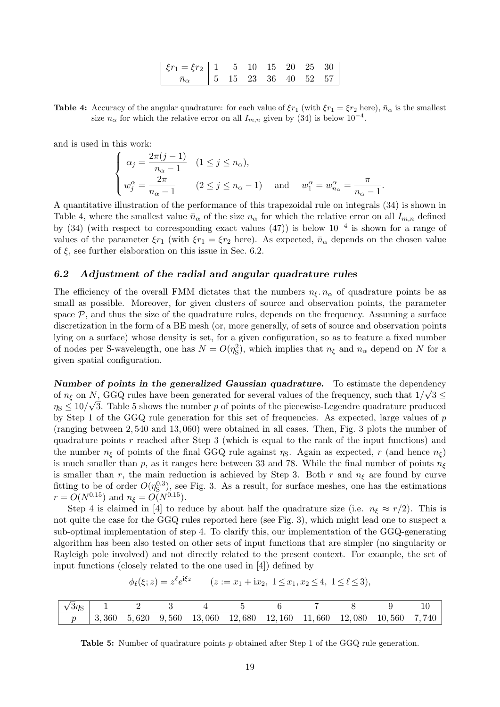| $\xi r_1 = \xi r_2$   1   5   10   15   20   25   30 |  |  |  |  |
|------------------------------------------------------|--|--|--|--|
| $\bar{n}_{\alpha}$   5 15 23 36 40 52 57             |  |  |  |  |

**Table 4:** Accuracy of the angular quadrature: for each value of  $\xi_{r_1}$  (with  $\xi_{r_1} = \xi_{r_2}$  here),  $\bar{n}_{\alpha}$  is the smallest size  $n_{\alpha}$  for which the relative error on all  $I_{m,n}$  given by (34) is below  $10^{-4}$ .

and is used in this work:

$$
\begin{cases}\n\alpha_j = \frac{2\pi(j-1)}{n_\alpha - 1} & (1 \le j \le n_\alpha), \\
w_j^\alpha = \frac{2\pi}{n_\alpha - 1} & (2 \le j \le n_\alpha - 1) \text{ and } w_1^\alpha = w_{n_\alpha}^\alpha = \frac{\pi}{n_\alpha - 1}.\n\end{cases}
$$

A quantitative illustration of the performance of this trapezoidal rule on integrals (34) is shown in Table 4, where the smallest value  $\bar{n}_{\alpha}$  of the size  $n_{\alpha}$  for which the relative error on all  $I_{m,n}$  defined by (34) (with respect to corresponding exact values (47)) is below  $10^{-4}$  is shown for a range of values of the parameter  $\xi r_1$  (with  $\xi r_1 = \xi r_2$  here). As expected,  $\bar{n}_{\alpha}$  depends on the chosen value of  $\xi$ , see further elaboration on this issue in Sec. 6.2.

#### 6.2 Adjustment of the radial and angular quadrature rules

The efficiency of the overall FMM dictates that the numbers  $n_{\xi}$ .  $n_{\alpha}$  of quadrature points be as small as possible. Moreover, for given clusters of source and observation points, the parameter space  $P$ , and thus the size of the quadrature rules, depends on the frequency. Assuming a surface discretization in the form of a BE mesh (or, more generally, of sets of source and observation points lying on a surface) whose density is set, for a given configuration, so as to feature a fixed number of nodes per S-wavelength, one has  $N = O(\eta_S^2)$ , which implies that  $n_{\xi}$  and  $n_{\alpha}$  depend on N for a given spatial configuration.

Number of points in the generalized Gaussian quadrature. To estimate the dependency of  $n_{\xi}$  on N, GGQ rules have been generated for several values of the frequency, such that  $1/\sqrt{3} \leq$  $\eta_{\rm S} \leq 10/\sqrt{3}$ . Table 5 shows the number p of points of the piecewise-Legendre quadrature produced by Step 1 of the GGQ rule generation for this set of frequencies. As expected, large values of  $p$ (ranging between 2, 540 and 13, 060) were obtained in all cases. Then, Fig. 3 plots the number of quadrature points r reached after Step 3 (which is equal to the rank of the input functions) and the number  $n_{\xi}$  of points of the final GGQ rule against  $\eta_{\rm S}$ . Again as expected, r (and hence  $n_{\xi}$ ) is much smaller than p, as it ranges here between 33 and 78. While the final number of points  $n<sub>\epsilon</sub>$ is smaller than r, the main reduction is achieved by Step 3. Both r and  $n_{\xi}$  are found by curve fitting to be of order  $O(\eta_S^{0.3})$ , see Fig. 3. As a result, for surface meshes, one has the estimations  $r = O(N^{0.15})$  and  $n_{\xi} = O(N^{0.15})$ .

Step 4 is claimed in [4] to reduce by about half the quadrature size (i.e.  $n_{\xi} \approx r/2$ ). This is not quite the case for the GGQ rules reported here (see Fig. 3), which might lead one to suspect a sub-optimal implementation of step 4. To clarify this, our implementation of the GGQ-generating algorithm has been also tested on other sets of input functions that are simpler (no singularity or Rayleigh pole involved) and not directly related to the present context. For example, the set of input functions (closely related to the one used in [4]) defined by

$$
\phi_{\ell}(\xi; z) = z^{\ell} e^{i\xi z} \qquad (z := x_1 + ix_2, \ 1 \le x_1, x_2 \le 4, \ 1 \le \ell \le 3),
$$

| $\sqrt{3}\eta_{\rm S}$ |  |                                                                                                                                  |  |  |  |
|------------------------|--|----------------------------------------------------------------------------------------------------------------------------------|--|--|--|
|                        |  | $p \mid 3,360 \quad 5,620 \quad 9,560 \quad 13,060 \quad 12,680 \quad 12,160 \quad 11,660 \quad 12,080 \quad 10,560 \quad 7,740$ |  |  |  |

Table 5: Number of quadrature points p obtained after Step 1 of the GGQ rule generation.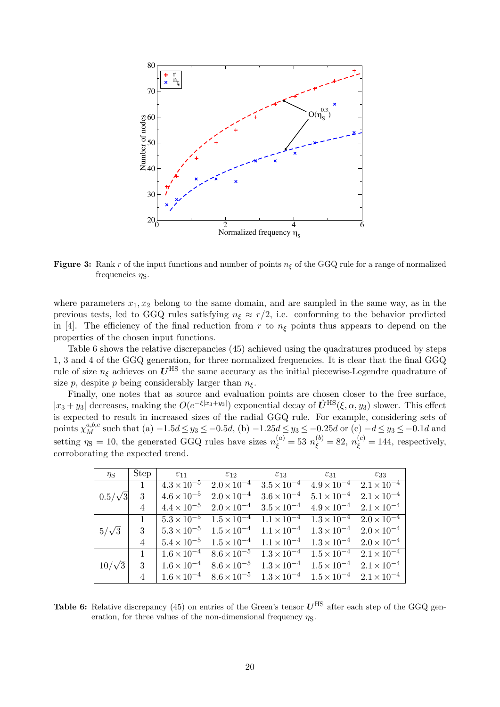

Figure 3: Rank r of the input functions and number of points  $n_{\xi}$  of the GGQ rule for a range of normalized frequencies  $\eta_{\rm S}$ .

where parameters  $x_1, x_2$  belong to the same domain, and are sampled in the same way, as in the previous tests, led to GGQ rules satisfying  $n_{\xi} \approx r/2$ , i.e. conforming to the behavior predicted in [4]. The efficiency of the final reduction from r to  $n<sub>\epsilon</sub>$  points thus appears to depend on the properties of the chosen input functions.

Table 6 shows the relative discrepancies (45) achieved using the quadratures produced by steps 1, 3 and 4 of the GGQ generation, for three normalized frequencies. It is clear that the final GGQ rule of size  $n_{\xi}$  achieves on  $\boldsymbol{U}^{\text{HS}}$  the same accuracy as the initial piecewise-Legendre quadrature of size p, despite p being considerably larger than  $n_{\xi}$ .

Finally, one notes that as source and evaluation points are chosen closer to the free surface,  $|x_3+y_3|$  decreases, making the  $O(e^{-\xi|x_3+y_3|})$  exponential decay of  $\hat{\mathbf{U}}^{\text{HS}}(\xi,\alpha,y_3)$  slower. This effect is expected to result in increased sizes of the radial GGQ rule. For example, considering sets of points  $\chi^{a,b,c}_{M}$  such that (a)  $-1.5d \leq y_3 \leq -0.5d$ , (b)  $-1.25d \leq y_3 \leq -0.25d$  or (c)  $-d \leq y_3 \leq -0.1d$  and setting  $\eta_S = 10$ , the generated GGQ rules have sizes  $n_{\xi}^{(a)} = 53$   $n_{\xi}^{(b)} = 82$ ,  $n_{\xi}^{(c)} = 144$ , respectively, corroborating the expected trend.

| $\eta$ <sub>S</sub>   | Step           | $\varepsilon_{11}$ | $\varepsilon_{12}$ | $\varepsilon_{13}$ | $\varepsilon_{31}$                                                                                             | $\varepsilon_{33}$ |
|-----------------------|----------------|--------------------|--------------------|--------------------|----------------------------------------------------------------------------------------------------------------|--------------------|
|                       | $\mathbf{1}$   |                    |                    |                    | $4.3 \times 10^{-5}$ $2.0 \times 10^{-4}$ $3.5 \times 10^{-4}$ $4.9 \times 10^{-4}$ $2.1 \times 10^{-4}$       |                    |
| $0.5/\sqrt{3}$        | 3              |                    |                    |                    | $4.6 \times 10^{-5}$ $2.0 \times 10^{-4}$ $3.6 \times 10^{-4}$ $5.1 \times 10^{-4}$ $2.1 \times 10^{-4}$       |                    |
|                       | $\overline{4}$ |                    |                    |                    | $4.4 \times 10^{-5}$ $2.0 \times 10^{-4}$ $3.5 \times 10^{-4}$ $4.9 \times 10^{-4}$ $2.1 \times 10^{-4}$       |                    |
|                       | $\mathbf{1}$   |                    |                    |                    | $5.3 \times 10^{-5}$ $1.5 \times 10^{-4}$ $1.1 \times 10^{-4}$ $1.3 \times 10^{-4}$ $2.0 \times 10^{-4}$       |                    |
| $\frac{1}{5}\sqrt{3}$ | 3              |                    |                    |                    | $5.3 \times 10^{-5}$ $1.5 \times 10^{-4}$ $1.1 \times 10^{-4}$ $1.3 \times 10^{-4}$ $2.0 \times 10^{-4}$       |                    |
|                       | 4              |                    |                    |                    | $5.4 \times 10^{-5}$ $1.5 \times 10^{-4}$ $1.1 \times 10^{-4}$ $1.3 \times 10^{-4}$ $2.0 \times 10^{-4}$       |                    |
|                       | $\mathbf{1}$   |                    |                    |                    | $\frac{1.6 \times 10^{-4} - 8.6 \times 10^{-5} - 1.3 \times 10^{-4}}{1.5 \times 10^{-4} - 2.1 \times 10^{-4}}$ |                    |
| $10/\sqrt{3}$         | 3              |                    |                    |                    | $1.6 \times 10^{-4}$ $8.6 \times 10^{-5}$ $1.3 \times 10^{-4}$ $1.5 \times 10^{-4}$ $2.1 \times 10^{-4}$       |                    |
|                       | 4              |                    |                    |                    | $1.6 \times 10^{-4}$ $8.6 \times 10^{-5}$ $1.3 \times 10^{-4}$ $1.5 \times 10^{-4}$ $2.1 \times 10^{-4}$       |                    |

**Table 6:** Relative discrepancy (45) on entries of the Green's tensor  $U^{\text{HS}}$  after each step of the GGQ generation, for three values of the non-dimensional frequency  $\eta_s$ .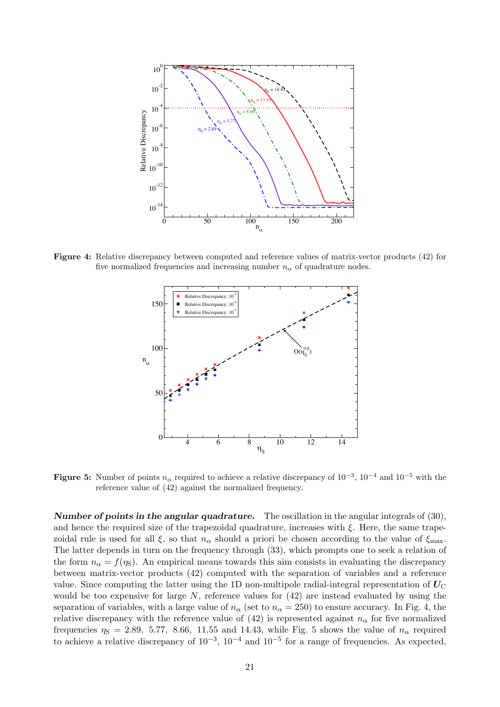

Figure 4: Relative discrepancy between computed and reference values of matrix-vector products (42) for five normalized frequencies and increasing number  $n_{\alpha}$  of quadrature nodes.



**Figure 5:** Number of points  $n_{\alpha}$  required to achieve a relative discrepancy of  $10^{-3}$ ,  $10^{-4}$  and  $10^{-5}$  with the reference value of (42) against the normalized frequency.

**Number of points in the angular quadrature.** The oscillation in the angular integrals of  $(30)$ , and hence the required size of the trapezoidal quadrature, increases with  $\xi$ . Here, the same trapezoidal rule is used for all  $\xi$ , so that  $n_{\alpha}$  should a priori be chosen according to the value of  $\xi_{\text{max}}$ . The latter depends in turn on the frequency through (33), which prompts one to seek a relation of the form  $n_{\alpha} = f(\eta s)$ . An empirical means towards this aim consists in evaluating the discrepancy between matrix-vector products (42) computed with the separation of variables and a reference value. Since computing the latter using the 1D non-multipole radial-integral representation of  $U_{\text{C}}$ would be too expensive for large  $N$ , reference values for  $(42)$  are instead evaluated by using the separation of variables, with a large value of  $n_{\alpha}$  (set to  $n_{\alpha} = 250$ ) to ensure accuracy. In Fig. 4, the relative discrepancy with the reference value of  $(42)$  is represented against  $n_{\alpha}$  for five normalized frequencies  $\eta_s = 2.89, 5.77, 8.66, 11.55,$  and 14.43, while Fig. 5 shows the value of  $n_\alpha$  required to achieve a relative discrepancy of  $10^{-3}$ ,  $10^{-4}$  and  $10^{-5}$  for a range of frequencies. As expected,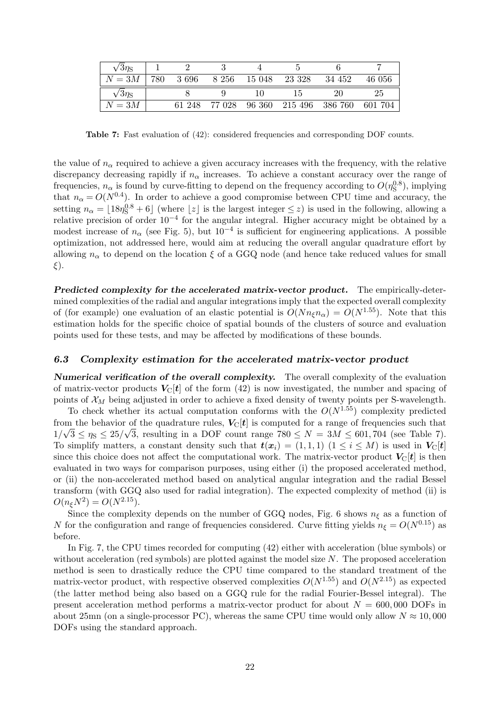| $\sqrt{3}n_S$          |     |        |         |        |                |         |         |
|------------------------|-----|--------|---------|--------|----------------|---------|---------|
| $N=3M$                 | 780 | 3696   | 8 2 5 6 | 15 048 | 23 328         | 34 452  | 46 056  |
| $\sqrt{3}\eta_{\rm S}$ |     |        |         |        | Тb             |         | 25      |
| $N=3M$                 |     | 61 248 | 77 028  |        | 96 360 215 496 | 386 760 | 601 704 |

Table 7: Fast evaluation of (42): considered frequencies and corresponding DOF counts.

the value of  $n_{\alpha}$  required to achieve a given accuracy increases with the frequency, with the relative discrepancy decreasing rapidly if  $n_{\alpha}$  increases. To achieve a constant accuracy over the range of frequencies,  $n_{\alpha}$  is found by curve-fitting to depend on the frequency according to  $O(\eta_{\rm S}^{0.8})$ , implying that  $n_{\alpha} = O(N^{0.4})$ . In order to achieve a good compromise between CPU time and accuracy, the setting  $n_{\alpha} = \lfloor 18 \eta_S^{0.8} + 6 \rfloor$  (where  $\lfloor z \rfloor$  is the largest integer  $\leq z$ ) is used in the following, allowing a relative precision of order  $10^{-4}$  for the angular integral. Higher accuracy might be obtained by a modest increase of  $n_{\alpha}$  (see Fig. 5), but  $10^{-4}$  is sufficient for engineering applications. A possible optimization, not addressed here, would aim at reducing the overall angular quadrature effort by allowing  $n_{\alpha}$  to depend on the location  $\xi$  of a GGQ node (and hence take reduced values for small ξ).

Predicted complexity for the accelerated matrix-vector product. The empirically-determined complexities of the radial and angular integrations imply that the expected overall complexity of (for example) one evaluation of an elastic potential is  $O(Nn_\xi n_\alpha) = O(N^{1.55})$ . Note that this estimation holds for the specific choice of spatial bounds of the clusters of source and evaluation points used for these tests, and may be affected by modifications of these bounds.

## 6.3 Complexity estimation for the accelerated matrix-vector product

Numerical verification of the overall complexity. The overall complexity of the evaluation of matrix-vector products  $V_{\text{C}}[t]$  of the form (42) is now investigated, the number and spacing of points of  $\mathcal{X}_M$  being adjusted in order to achieve a fixed density of twenty points per S-wavelength.

To check whether its actual computation conforms with the  $O(N^{1.55})$  complexity predicted from the behavior of the quadrature rules,  $V_C[t]$  is computed for a range of frequencies such that  $1/\sqrt{3} \leq \eta_{\rm S} \leq 25/\sqrt{3}$ , resulting in a DOF count range  $780 \leq N = 3M \leq 601,704$  (see Table 7). To simplify matters, a constant density such that  $t(x_i) = (1, 1, 1)$   $(1 \leq i \leq M)$  is used in  $V_{\mathbb{C}}[t]$ since this choice does not affect the computational work. The matrix-vector product  $V_C[t]$  is then evaluated in two ways for comparison purposes, using either (i) the proposed accelerated method, or (ii) the non-accelerated method based on analytical angular integration and the radial Bessel transform (with GGQ also used for radial integration). The expected complexity of method (ii) is  $O(n_{\xi}N^2) = O(N^{2.15}).$ 

Since the complexity depends on the number of GGQ nodes, Fig. 6 shows  $n_{\xi}$  as a function of N for the configuration and range of frequencies considered. Curve fitting yields  $n_{\xi} = O(N^{0.15})$  as before.

In Fig. 7, the CPU times recorded for computing (42) either with acceleration (blue symbols) or without acceleration (red symbols) are plotted against the model size  $N$ . The proposed acceleration method is seen to drastically reduce the CPU time compared to the standard treatment of the matrix-vector product, with respective observed complexities  $O(N^{1.55})$  and  $O(N^{2.15})$  as expected (the latter method being also based on a GGQ rule for the radial Fourier-Bessel integral). The present acceleration method performs a matrix-vector product for about  $N = 600,000$  DOFs in about 25mn (on a single-processor PC), whereas the same CPU time would only allow  $N \approx 10,000$ DOFs using the standard approach.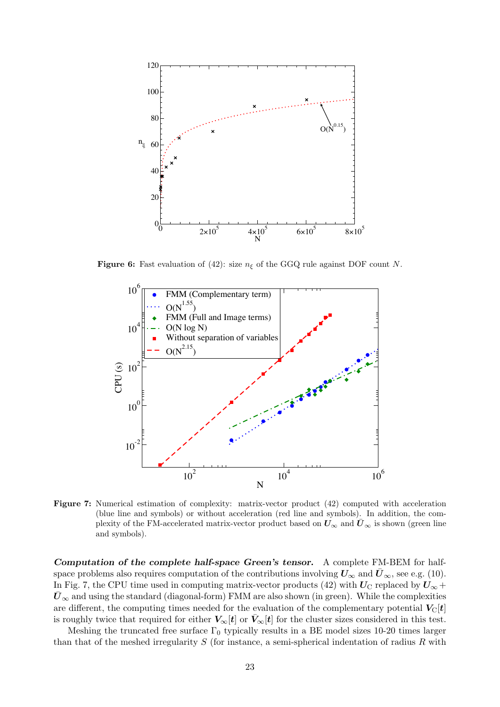

**Figure 6:** Fast evaluation of (42): size  $n_{\xi}$  of the GGQ rule against DOF count N.



Figure 7: Numerical estimation of complexity: matrix-vector product (42) computed with acceleration (blue line and symbols) or without acceleration (red line and symbols). In addition, the complexity of the FM-accelerated matrix-vector product based on  $U_{\infty}$  and  $\bar{U}_{\infty}$  is shown (green line and symbols).

Computation of the complete half-space Green's tensor. A complete FM-BEM for halfspace problems also requires computation of the contributions involving  $U_{\infty}$  and  $\bar{U}_{\infty}$ , see e.g. (10). In Fig. 7, the CPU time used in computing matrix-vector products (42) with  $U_{\rm C}$  replaced by  $U_{\infty}$  +  $\bar{U}_{\infty}$  and using the standard (diagonal-form) FMM are also shown (in green). While the complexities are different, the computing times needed for the evaluation of the complementary potential  $V_{\text{C}}[t]$ is roughly twice that required for either  $V_\infty[t]$  or  $\bar{V}_\infty[t]$  for the cluster sizes considered in this test.

Meshing the truncated free surface  $\Gamma_0$  typically results in a BE model sizes 10-20 times larger than that of the meshed irregularity  $S$  (for instance, a semi-spherical indentation of radius  $R$  with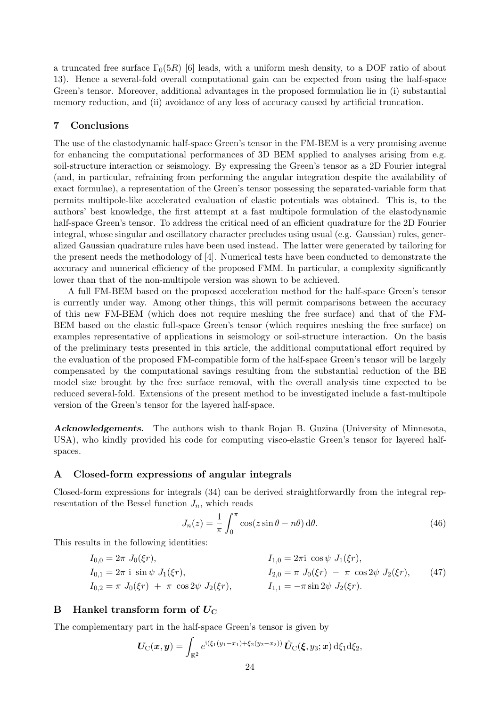a truncated free surface  $\Gamma_0(5R)$  [6] leads, with a uniform mesh density, to a DOF ratio of about 13). Hence a several-fold overall computational gain can be expected from using the half-space Green's tensor. Moreover, additional advantages in the proposed formulation lie in (i) substantial memory reduction, and (ii) avoidance of any loss of accuracy caused by artificial truncation.

# 7 Conclusions

The use of the elastodynamic half-space Green's tensor in the FM-BEM is a very promising avenue for enhancing the computational performances of 3D BEM applied to analyses arising from e.g. soil-structure interaction or seismology. By expressing the Green's tensor as a 2D Fourier integral (and, in particular, refraining from performing the angular integration despite the availability of exact formulae), a representation of the Green's tensor possessing the separated-variable form that permits multipole-like accelerated evaluation of elastic potentials was obtained. This is, to the authors' best knowledge, the first attempt at a fast multipole formulation of the elastodynamic half-space Green's tensor. To address the critical need of an efficient quadrature for the 2D Fourier integral, whose singular and oscillatory character precludes using usual (e.g. Gaussian) rules, generalized Gaussian quadrature rules have been used instead. The latter were generated by tailoring for the present needs the methodology of [4]. Numerical tests have been conducted to demonstrate the accuracy and numerical efficiency of the proposed FMM. In particular, a complexity significantly lower than that of the non-multipole version was shown to be achieved.

A full FM-BEM based on the proposed acceleration method for the half-space Green's tensor is currently under way. Among other things, this will permit comparisons between the accuracy of this new FM-BEM (which does not require meshing the free surface) and that of the FM-BEM based on the elastic full-space Green's tensor (which requires meshing the free surface) on examples representative of applications in seismology or soil-structure interaction. On the basis of the preliminary tests presented in this article, the additional computational effort required by the evaluation of the proposed FM-compatible form of the half-space Green's tensor will be largely compensated by the computational savings resulting from the substantial reduction of the BE model size brought by the free surface removal, with the overall analysis time expected to be reduced several-fold. Extensions of the present method to be investigated include a fast-multipole version of the Green's tensor for the layered half-space.

Acknowledgements. The authors wish to thank Bojan B. Guzina (University of Minnesota, USA), who kindly provided his code for computing visco-elastic Green's tensor for layered halfspaces.

## A Closed-form expressions of angular integrals

Closed-form expressions for integrals (34) can be derived straightforwardly from the integral representation of the Bessel function  $J_n$ , which reads

$$
J_n(z) = \frac{1}{\pi} \int_0^{\pi} \cos(z \sin \theta - n\theta) d\theta.
$$
 (46)

This results in the following identities:

$$
I_{0,0} = 2\pi J_0(\xi r),
$$
  
\n
$$
I_{0,1} = 2\pi i \sin \psi J_1(\xi r),
$$
  
\n
$$
I_{0,1} = 2\pi i \sin \psi J_1(\xi r),
$$
  
\n
$$
I_{0,2} = \pi J_0(\xi r) + \pi \cos 2\psi J_2(\xi r),
$$
  
\n
$$
I_{1,1} = -\pi \sin 2\psi J_2(\xi r).
$$
  
\n
$$
(47)
$$
  
\n
$$
I_{1,1} = -\pi \sin 2\psi J_2(\xi r).
$$

## B Hankel transform form of  $U_{\rm C}$

The complementary part in the half-space Green's tensor is given by

$$
\boldsymbol{U}_{\rm C}(\boldsymbol{x},\boldsymbol{y})=\int_{\mathbb{R}^2} e^{i(\xi_1(y_1-x_1)+\xi_2(y_2-x_2))}\,\hat{\boldsymbol{U}}_{\rm C}(\boldsymbol{\xi},y_3;\boldsymbol{x})\,\mathrm{d}\xi_1\mathrm{d}\xi_2,
$$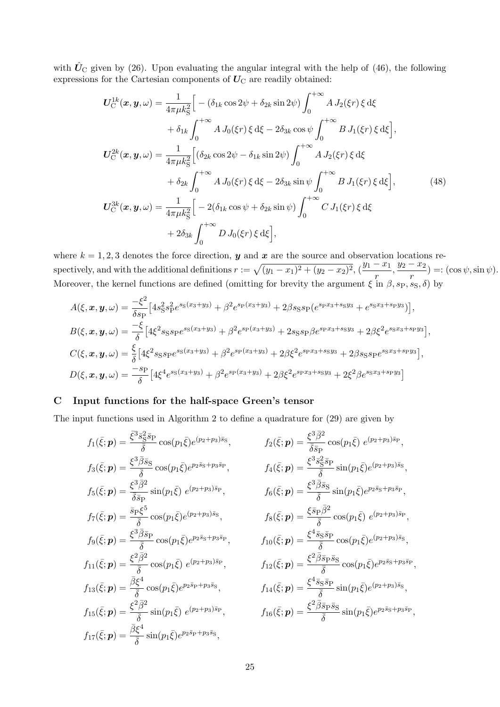with  $\hat{U}_{\text{C}}$  given by (26). Upon evaluating the angular integral with the help of (46), the following expressions for the Cartesian components of  $U_{\text{C}}$  are readily obtained:

$$
\boldsymbol{U}_{\rm C}^{1k}(\boldsymbol{x}, \boldsymbol{y}, \omega) = \frac{1}{4\pi\mu k_{\rm S}^2} \Big[ -(\delta_{1k} \cos 2\psi + \delta_{2k} \sin 2\psi) \int_0^{+\infty} A J_2(\xi r) \,\xi \,d\xi \n+ \delta_{1k} \int_0^{+\infty} A J_0(\xi r) \,\xi \,d\xi - 2\delta_{3k} \cos \psi \int_0^{+\infty} B J_1(\xi r) \,\xi \,d\xi \Big],
$$
\n
$$
\boldsymbol{U}_{\rm C}^{2k}(\boldsymbol{x}, \boldsymbol{y}, \omega) = \frac{1}{4\pi\mu k_{\rm S}^2} \Big[ (\delta_{2k} \cos 2\psi - \delta_{1k} \sin 2\psi) \int_0^{+\infty} A J_2(\xi r) \,\xi \,d\xi \n+ \delta_{2k} \int_0^{+\infty} A J_0(\xi r) \,\xi \,d\xi - 2\delta_{3k} \sin \psi \int_0^{+\infty} B J_1(\xi r) \,\xi \,d\xi \Big], \qquad (48)
$$
\n
$$
\boldsymbol{U}_{\rm C}^{3k}(\boldsymbol{x}, \boldsymbol{y}, \omega) = \frac{1}{4\pi\mu k_{\rm S}^2} \Big[ -2(\delta_{1k} \cos \psi + \delta_{2k} \sin \psi) \int_0^{+\infty} C J_1(\xi r) \,\xi \,d\xi \n+ 2\delta_{3k} \int_0^{+\infty} D J_0(\xi r) \,\xi \,d\xi \Big], \qquad (49)
$$

where  $k = 1, 2, 3$  denotes the force direction, y and x are the source and observation locations respectively, and with the additional definitions  $r := \sqrt{(y_1 - x_1)^2 + (y_2 - x_2)^2}$ ,  $(\frac{y_1 - x_1}{r}, \frac{y_2 - x_2}{r})$  $(\cos \psi, \sin \psi).$ Moreover, the kernel functions are defined (omitting for brevity the argument  $\xi$  in  $\beta$ ,  $s_P$ ,  $s_S$ ,  $\delta$ ) by

$$
A(\xi, \mathbf{x}, \mathbf{y}, \omega) = \frac{-\xi^2}{\delta s} \left[ 4s_5^2 s_1^2 e^{s_5(x_3+y_3)} + \beta^2 e^{s_5(x_3+y_3)} + 2\beta s_5 s_5 (e^{s_5x_3+s_5y_3} + e^{s_5x_3+s_5y_3}) \right],
$$
  
\n
$$
B(\xi, \mathbf{x}, \mathbf{y}, \omega) = \frac{-\xi}{\delta} \left[ 4\xi^2 s_5 s_5 e^{s_5(x_3+y_3)} + \beta^2 e^{s_5(x_3+y_3)} + 2s_5 s_5 \beta e^{s_5x_3+s_5y_3} + 2\beta \xi^2 e^{s_5x_3+s_5y_3} \right],
$$
  
\n
$$
C(\xi, \mathbf{x}, \mathbf{y}, \omega) = \frac{\xi}{\delta} \left[ 4\xi^2 s_5 s_5 e^{s_5(x_3+y_3)} + \beta^2 e^{s_5(x_3+y_3)} + 2\beta \xi^2 e^{s_5x_3+s_5y_3} + 2\beta s_5 s_5 e^{s_5x_3+s_5y_3} \right],
$$
  
\n
$$
D(\xi, \mathbf{x}, \mathbf{y}, \omega) = \frac{-s_5}{\delta} \left[ 4\xi^4 e^{s_5(x_3+y_3)} + \beta^2 e^{s_5(x_3+y_3)} + 2\beta \xi^2 e^{s_5x_3+s_5y_3} + 2\xi^2 \beta e^{s_5x_3+s_5y_3} \right]
$$

# C Input functions for the half-space Green's tensor

The input functions used in Algorithm 2 to define a quadrature for (29) are given by

$$
f_{1}(\bar{\xi}; p) = \frac{\bar{\xi}^{3} \bar{s}_{\bar{S}}^{2} \bar{s}_{\bar{P}}}{\bar{\delta}} \cos(p_{1}\bar{\xi}) e^{(p_{2}+p_{3})\bar{s}_{\bar{P}}},
$$
\n
$$
f_{2}(\bar{\xi}; p) = \frac{\xi^{3} \bar{\beta}^{2}}{\bar{\delta} \bar{s}_{\bar{P}}} \cos(p_{1}\bar{\xi}) e^{(p_{2}+p_{3})\bar{s}_{\bar{P}}},
$$
\n
$$
f_{3}(\bar{\xi}; p) = \frac{\xi^{3} \bar{\beta}^{2}}{\bar{\delta}} \sin(p_{1}\bar{\xi}) e^{(p_{2}+p_{3})\bar{s}_{\bar{P}}},
$$
\n
$$
f_{4}(\bar{\xi}; p) = \frac{\xi^{3} \bar{s}_{\bar{S}}^{2} \bar{s}_{\bar{P}}}{\bar{\delta}} \sin(p_{1}\bar{\xi}) e^{(p_{2}+p_{3})\bar{s}_{\bar{P}}},
$$
\n
$$
f_{5}(\bar{\xi}; p) = \frac{\bar{s}_{\bar{P}} \xi^{5}}{\bar{\delta}} \cos(p_{1}\bar{\xi}) e^{(p_{2}+p_{3})\bar{s}_{\bar{P}}},
$$
\n
$$
f_{6}(\bar{\xi}; p) = \frac{\xi^{3} \bar{\beta} \bar{s}_{\bar{S}}}{\bar{\delta}} \sin(p_{1}\bar{\xi}) e^{p_{2}\bar{s}_{\bar{S}}+p_{3}\bar{s}_{\bar{P}}},
$$
\n
$$
f_{8}(\bar{\xi}; p) = \frac{\xi^{5} \bar{s}_{\bar{P}} \bar{\beta}^{2}}{\bar{\delta}} \cos(p_{1}\bar{\xi}) e^{(p_{2}+p_{3})\bar{s}_{\bar{P}}},
$$
\n
$$
f_{10}(\bar{\xi}; p) = \frac{\xi^{2} \bar{\beta}^{2}}{\bar{\delta}} \cos(p_{1}\bar{\xi}) e^{(p_{2}+p_{3})\bar{s}_{\bar{P}}},
$$
\n
$$
f_{11}(\bar{\xi}; p) = \frac{\xi^{2} \bar{\beta}^{2}}{\bar{\delta}} \cos(p_{1}\bar{\xi}) e^{(p_{2}+p_{3})\bar{s}_{\bar{P}}},
$$
\n
$$
f_{12}(\bar{\xi}; p) = \frac{\xi^{2} \bar{\beta} \bar{s}_{
$$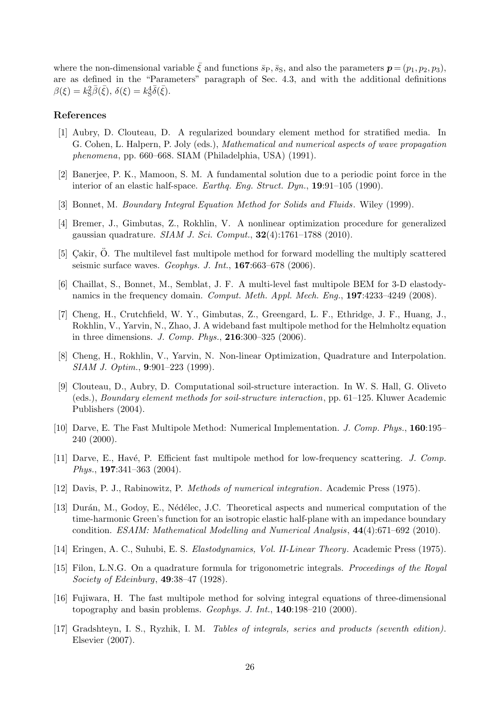where the non-dimensional variable  $\bar{\xi}$  and functions  $\bar{s}_P$ ,  $\bar{s}_S$ , and also the parameters  $\bm{p} = (p_1, p_2, p_3)$ , are as defined in the "Parameters" paragraph of Sec. 4.3, and with the additional definitions  $\beta(\xi) = k_S^2 \overline{\beta}(\overline{\xi}), \delta(\xi) = k_S^4 \overline{\delta}(\overline{\xi}).$ 

## References

- [1] Aubry, D. Clouteau, D. A regularized boundary element method for stratified media. In G. Cohen, L. Halpern, P. Joly (eds.), Mathematical and numerical aspects of wave propagation phenomena, pp. 660–668. SIAM (Philadelphia, USA) (1991).
- [2] Banerjee, P. K., Mamoon, S. M. A fundamental solution due to a periodic point force in the interior of an elastic half-space. Earthq. Eng. Struct. Dyn.,  $19:91-105$  (1990).
- [3] Bonnet, M. Boundary Integral Equation Method for Solids and Fluids. Wiley (1999).
- [4] Bremer, J., Gimbutas, Z., Rokhlin, V. A nonlinear optimization procedure for generalized gaussian quadrature. SIAM J. Sci. Comput.,  $32(4):1761-1788$  (2010).
- [5] Cakir, O. The multilevel fast multipole method for forward modelling the multiply scattered seismic surface waves. *Geophys. J. Int.*, **167**:663-678 (2006).
- [6] Chaillat, S., Bonnet, M., Semblat, J. F. A multi-level fast multipole BEM for 3-D elastodynamics in the frequency domain. Comput. Meth. Appl. Mech. Eng., 197:4233–4249 (2008).
- [7] Cheng, H., Crutchfield, W. Y., Gimbutas, Z., Greengard, L. F., Ethridge, J. F., Huang, J., Rokhlin, V., Yarvin, N., Zhao, J. A wideband fast multipole method for the Helmholtz equation in three dimensions. J. Comp. Phys., 216:300–325 (2006).
- [8] Cheng, H., Rokhlin, V., Yarvin, N. Non-linear Optimization, Quadrature and Interpolation. SIAM J. Optim., 9:901–223 (1999).
- [9] Clouteau, D., Aubry, D. Computational soil-structure interaction. In W. S. Hall, G. Oliveto (eds.), Boundary element methods for soil-structure interaction, pp. 61–125. Kluwer Academic Publishers (2004).
- [10] Darve, E. The Fast Multipole Method: Numerical Implementation. J. Comp. Phys., 160:195– 240 (2000).
- [11] Darve, E., Havé, P. Efficient fast multipole method for low-frequency scattering. J. Comp. Phys., 197:341–363 (2004).
- [12] Davis, P. J., Rabinowitz, P. Methods of numerical integration. Academic Press (1975).
- [13] Durán, M., Godoy, E., Nédélec, J.C. Theoretical aspects and numerical computation of the time-harmonic Green's function for an isotropic elastic half-plane with an impedance boundary condition. ESAIM: Mathematical Modelling and Numerical Analysis, 44(4):671–692 (2010).
- [14] Eringen, A. C., Suhubi, E. S. Elastodynamics, Vol. II-Linear Theory. Academic Press (1975).
- [15] Filon, L.N.G. On a quadrature formula for trigonometric integrals. Proceedings of the Royal Society of Edeinburg, 49:38–47 (1928).
- [16] Fujiwara, H. The fast multipole method for solving integral equations of three-dimensional topography and basin problems. Geophys. J. Int., 140:198–210 (2000).
- [17] Gradshteyn, I. S., Ryzhik, I. M. Tables of integrals, series and products (seventh edition). Elsevier (2007).